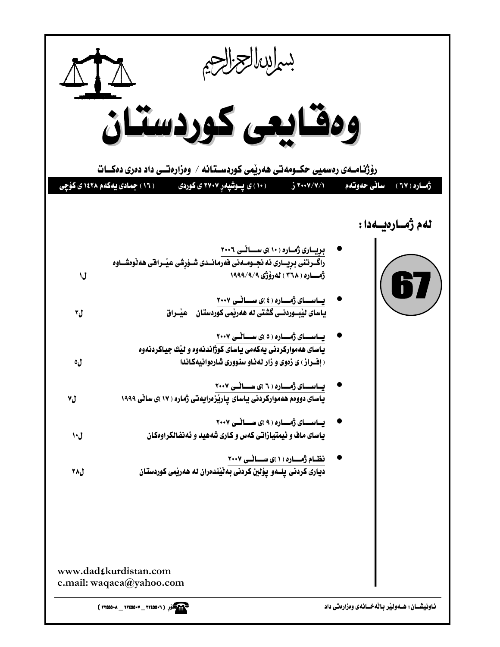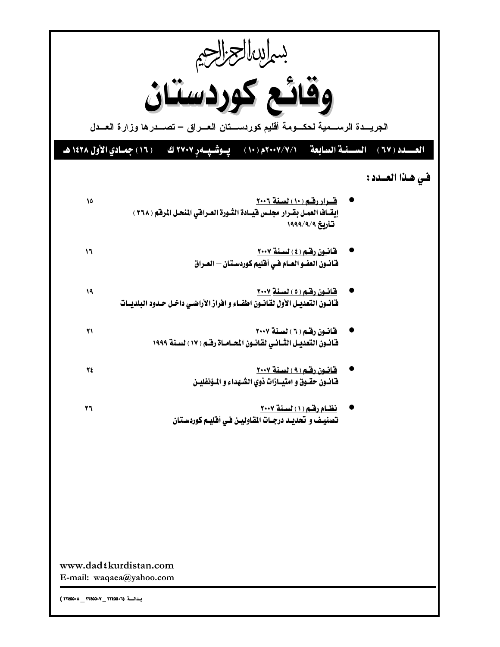| بسماسا الجزالجيم                     |                                                                                                                    |               |  |  |  |  |  |  |  |
|--------------------------------------|--------------------------------------------------------------------------------------------------------------------|---------------|--|--|--|--|--|--|--|
|                                      | وقائع كوردستان                                                                                                     |               |  |  |  |  |  |  |  |
|                                      | الجريسدة الرسسمية لحكسومة أقليم كوردسستان العسراق – تصسدرها وزارة العسدل                                           |               |  |  |  |  |  |  |  |
|                                      | يِسوشَـيِسمرِ ٢٧٠٧ ك - ( ١٦ ) جمـادي الأول ١٤٢٨ هـ<br>العسيد ( ٦٧ ) - السينية السابعة - ٢٠٠٧/٧/١٠ ( ١٠ )           |               |  |  |  |  |  |  |  |
|                                      |                                                                                                                    |               |  |  |  |  |  |  |  |
|                                      |                                                                                                                    | في هذا العسد: |  |  |  |  |  |  |  |
| ١٥                                   | <u>قسرار رقبه (١٠) لسنة ٢٠٠٦</u><br>إيقــاف العمـل بـقـرار مجلـس فيــادة الثــورة العـرافي المنحـل المرفّم ( ٣٦٨ ) |               |  |  |  |  |  |  |  |
|                                      | تأريخ ١٩٩٩/٩/٩                                                                                                     |               |  |  |  |  |  |  |  |
| ۱٦                                   | قانيون رقم (٤) لسنة ٢٠٠٧                                                                                           |               |  |  |  |  |  |  |  |
|                                      | فانــون العضـو العــام فـي أفـّليم كوردسـتـان — العــراق                                                           |               |  |  |  |  |  |  |  |
| 19                                   | <u>قانون رقم (٥) لسنة ٢٠٠٧</u><br>فانسون التعديـل الأول لقانسون اطفـاء و افراز الأراضـي داخـل حـدود البلديــات     |               |  |  |  |  |  |  |  |
| 21                                   | قانون رقم ( ٦ ) لسنة ٢٠٠٧<br>فَّانـون التعديـل الثَّـانـي لقانـون المحـامـاة رفَّـم ( ١٧ ) لسـنة ١٩٩٩              |               |  |  |  |  |  |  |  |
|                                      |                                                                                                                    |               |  |  |  |  |  |  |  |
| 22                                   | <u>قانون رقم ( ۹ ) لسنة ۲۰۰۷</u><br>فانسون حقسوق و امتيسازات ذوي الشهداء و المـؤنفليـن                             |               |  |  |  |  |  |  |  |
| 27                                   |                                                                                                                    |               |  |  |  |  |  |  |  |
|                                      | نظام رقم (١) لسنة ٢٠٠٧<br>تصنيف و تحديـد درجـات المقاوليـن فـي أفليـم كوردسـتـان                                   |               |  |  |  |  |  |  |  |
|                                      |                                                                                                                    |               |  |  |  |  |  |  |  |
|                                      |                                                                                                                    |               |  |  |  |  |  |  |  |
|                                      |                                                                                                                    |               |  |  |  |  |  |  |  |
|                                      |                                                                                                                    |               |  |  |  |  |  |  |  |
|                                      |                                                                                                                    |               |  |  |  |  |  |  |  |
|                                      |                                                                                                                    |               |  |  |  |  |  |  |  |
|                                      |                                                                                                                    |               |  |  |  |  |  |  |  |
|                                      | www.dadtkurdistan.com<br>E-mail: waqaea@yahoo.com                                                                  |               |  |  |  |  |  |  |  |
| بلدائة (٢٢٤٥٥٠٧ - ٢٢٤٥٥٠٨ - ٢٢٤٥٥٠٨) |                                                                                                                    |               |  |  |  |  |  |  |  |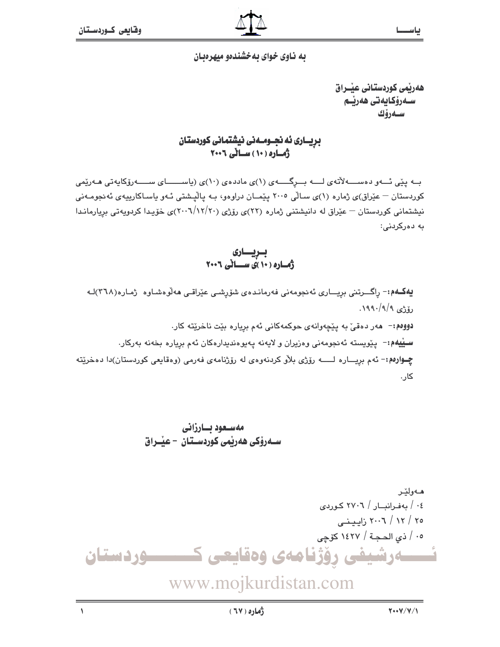به ناوی خوای به خشندهو میهرهبان

هەريمى كوردستانى عيــراق سـەرۆكايەتى ھەرپـم سـەرۆك

بریساری ئه نجسومدنی نیشتمانی کوردستان أماره (١٠) سائي ٢٠٠٦

بــه یێی ئـــهو دهســــهلاٌتهی لــــه بـــرگـــــهی (۱)ی ماددهی (۱۰)ی (یاســــــای ســـــهرۆکایهتی هــهرێمی کوردستان – عێراق)ی ژماره (۱)ی سـالّی ۲۰۰۵ یێمـان دراوهو، بـه یالیشتی ئـهو یاسـاکارییهی ئهنجومـهنی نیشتمانی کوردستان – عیّراق له دانیشتنی ژماره (۲۲)ی روّژی (۲۰۰/۱۲/۲۰)ی خوّیدا کردویهتی بریارماندا په دهرکردنی:

بویساری<br>ژماره (۱۰)ی سسالی ۲۰۰۶

يەكمە:- راگىرتنى بريـارى ئەنجومەنى فەرمانىدەي شۆرشىي عيّراقىي ھەلوەشاوە ژمارە(٢٦٨)لـه رۆژى ١٩٩٠/٩/٩. دوومه:- مه ر دهقی به ییچهوانهی حوکمهکانی ئهم بریاره بیّت ناخریته کار. **سیپهم:**- ییویسته ئەنجومەنی وەزیران و لایەنە یەیوەندیدارەكان ئەم بریارە بخەنە بەركار. چوارهم:- ئهم بريساره لــــــه رۆژى بلاو كردنهوهى له رۆژنامهى فهرمى (وهقايعى كوردستان)دا دەخريته کار.

مەسىغود ئىبارزانى سـەرۆكى ھەرپمى كوردسـتان – عيْــراق

ھەولێر ٤٠ / بهفرانبار / ٢٧٠٦ كوردى ۲۰ / ۲۰۰۲ زایینسی ۰۰ / ذي الحجة / ۱٤۲۷ كۆچى رۆژنامەي وەقايعى ك ــــوردستان

www.mojkurdistan.com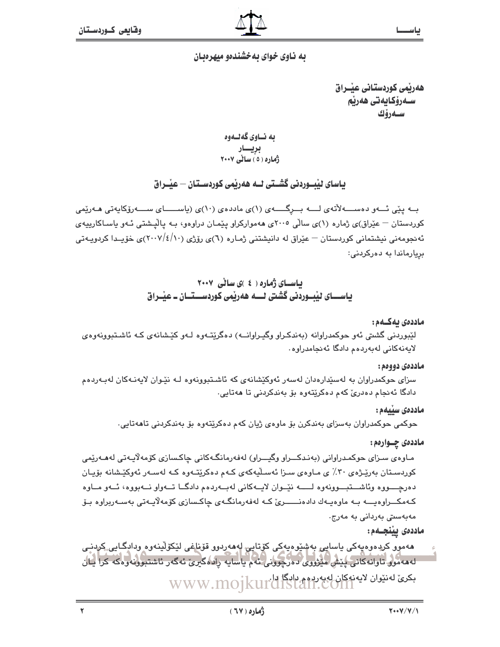#### به ناوی خوای به خشندهو میهرهبان

هەريمى كوردستانى عيــراق سـەرۆكايەتى ھەرپم سـەرۆك

ىە نــاوى گەنــەوە بريسار ژماره (٥) سائی ۲۰۰۷

### یاسای لیْسوردنی گشــتی لــه ههریمی کوردســتان — عیّــراق

بــه یـێی ئـــهو دهســـــهلأتهى لـــــه بــــرگــــــهى (۱)ى ماددهى (۱۰)ى (یاســــــاى ســـــهرزقایهتى هــهرزيمى کوردستان – عێراق)ی ژماره (۱)ی سالّی ۲۰۰۵ی ههموارکراو پێمان دراوهو، بـه پالیشتی ئـهو پاسـاکارپیهی ئه نجومهنی نیشتمانی کوردستان — عێراق له دانیشتنی ژمـاره (٦)ی رۆژی (١٠/٤/١٠)ی خۆپــدا کردویـهتی بريارماندا به دەركردنى:

### باسای ژماره ( ٤ )ی سالی ٢٠٠٧ ياســـای ليْبــوردنى گشتى لـــه هەريمى كوردســـتــان ــ عيْــراق

#### ماددەى بەكــەم :

لێبوردنی گشتی ئەو حوکمدراوانه (بەندکـراو وگیـراوانــه) دەگرێتـەوە لـەو کێشانەی کـه ئاشـتبوونەوەی لايەنەكانى لەبەردەم دادگا ئەنجامدراوە٠

#### ماددەى دوومم:

سزای حوکمدراوان به لهسێدارهدان لهسهر ئهوکێشانهی که ئاشتبوونهوه لـه نێوان لایهنـهکان لهبـهردهم دادگا ئەنجام دەدرى كەم دەكريتەوە بۆ بەندكردنى تا ھەتايى.

#### ماددەى سىيەم:

حوکمي حوکمدراوان بهسزاي بهندکرن بۆ ماوهي ژيان کهم دهکريتهوه بۆ بهندکردنی تاههتايي.

#### ماددهۍ چــوارهم:

مـاوەي سـزاي حوكمـدراواني (بەنـدكـــراو وگيـــراو) لەفەرمانگـەكانى چاكـسازى كۆمەلايـەتى لەھـەرێمى کوردستان بەرێژەي ۳۰٪ ی مـاوەی سـزا ئەسـلّیەکەی کـهم دەکرێتـهوه کـه لەسـەر ئەوکێـشانە بۆيـان دهرچـــووه وئاشـــتبــوونهوه لــــه نێـوان لايــهكانى لهبــهردهم دادگــا تــهواو نــهبووه، ئــهو مــاوه كەمكـــراوەيــــە بــە ماوەيــەك دادەنـــــــرىّ كــە لەفەرمانگــەي چاكـسازى كۆمەلايــەتى بەســەربراوە بــۆ مەبەسىتى بەردانى بە مەرج.

#### ماددەى يېنجـەم:

هەموو کردەوەپەکى ياسايى بەشێوەپەکى کۆتايى لەھەردوو قۆناغى لێکۆلێنەوە ودادگـايى کردنـى لههه موو تاوانه کاني پَٽِش مَٽِڙووي دهرچووني ته م پاسايه رادهگري تهگهر ئاشتبوونهوهکه کرا ڀان بكرى لەنتوان لايەنەكان لەيەردەم دادگا دا. WWW.MOJKurdIStan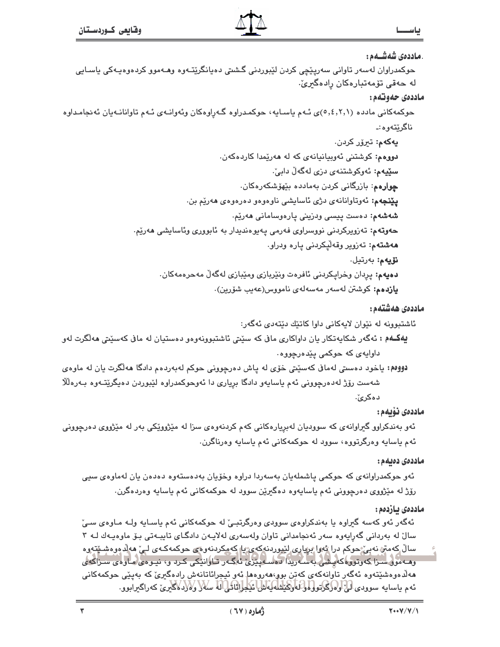| .ماددەى شەشــەم :                                                                                              |
|----------------------------------------------------------------------------------------------------------------|
| حوکمدراوان لهسهر تاوانی سهرپێچی کردن لێبوردنی گشتی دهیانگرێتـهوه وهـهموو کردهوهیـهکی یاسـایی                   |
| لە حەقى تۆمەتبارەكان رادەگىرىّ.                                                                                |
| ماددەي حەوتەم:                                                                                                 |
| حوکمهکانی مادده (۰٫٤٫۲٫۱)ی ئـهم یاسـایه، حوکمـدراوه گـهرِاوهکان وئهوانـهی ئـهم تاوانانـهیان ئهنجامـداوه        |
| ناگرێتەوە :ـ                                                                                                   |
| <b>ـيەكەم:</b> تىرۆر كردن.                                                                                     |
| دووهم: کوشتنی ئەوبيانيانەی کە لە ھەرێمدا کاردەکەن.                                                             |
| <b>سێیەم:</b> ئەوكوشتنەي دزى لەگەڵ دابىٚ.                                                                      |
| <b>چوارەم</b> : بازرگانى كردن بەماددە بێهۆشكەرەكان.                                                            |
| <b>پێنجهم:</b> ئەوتاوانانەی دژی ئاسايشى ناوەوەو دەرەوەی ھەرێم بن.                                              |
| <b>شەشەم:</b> دەست پيسى ودزينى پارەوسامانى ھەرێم.                                                              |
| <b>حەوتەم:</b> تەزويركردنى نووسراوى فەرمى پەيوەندىدار بە ئابوورى وئاسايشى ھەرێم.                               |
| <b>مەشتەم:</b> تەزوير وقەلْپكردنى پارە ودراو.                                                                  |
| نۆيەم: بەرتيل.                                                                                                 |
| دهيهم: پرِدان وخراپكردني ئافرەت ونێربازي ومێبازي لهگەلْ مەحرەمەكان.                                            |
| <b>يازدەم: ك</b> وشتن لەسەر مەسەلەي نامووس(عەيب شۆرين).                                                        |
|                                                                                                                |
| ماددەى ھەشتەم :                                                                                                |
| ئاشتبوونه له نێوان لایهکانی داوا کاتێك دێتهدی ئهگهر:                                                           |
| الملک اسم دیگی شامل بینما ایران این این سی در عاشیت در در بینمایی این سی در این این این این این این این این ای |

**بهکــهم :** ئهگەر شکايەتکار يان داواکار*ی* ماڧ که سێتی ئاشتبوونەوەو دەستيان له ماڧ کەسێتی مەلگرت لەو داوايه ی که حوکمی پێدهرچووه٠

دووهم: یاخود دهستی لهمافی کهسیتی خوّی له یاش دهرچوونی حوکم له به ردهم دادگا هه لکرت یان له ماوهی شەست رۆژ لەدەرچوونى ئەم ياسايەو دادگا بريارى دا ئەوحوكمدراوە لێبوردن دەيگرێتـەوە بـەرەڵلاّ دهكرئ.

#### ماددەى نۆيەم :

ئهو بهندکراوو گیراوانهی که سوودیان لهبریارهکانی کهم کردنهوهی سزا له میْژوویکی بهر له میْژووی دهرچوونی ئهم باسايه وهرگرتووه، سوود له حوکمهکانی ئهم پاسايه وهرناگرن.

#### ماددەى دەيەم :

ئەو حوكمدراوانەي كە حوكمى ياشملەيان بەسەردا دراوە وخۆيان بەدەستەوە دەدەن يان لەماوەي سىي رۆژ له مێژووي دەرچوونى ئەم ياسايەوە دەگىرێن سوود لە حوكمەكانى ئەم ياسايە وەردەگرن.

#### ماددەى ئازدەم:

ئهگەر ئەو كەسە گىراوە يا بەندكراوەي سوودى وەرگرتبى لە حوكمەكانى ئەم ياسايە ولـە مـاوەي سىنّ سالٌ له بەردانی گەراپەوە سەر ئەنجامدانی تاوان ولەسەری لەلاپەن دادگـای تايبـەتی بـۆ ماوەپـەك لــە ۳ سالٌ کهمتن نه بی ْ حوکم درا ئهوا برياری لێبوردنهکهی يا کهمکردنهوهی حوکمهکـهی لـی ههلا موهشـێتهوه وهـه موو سـزا که وتووه که پـشي به سـه ريدا دهسـه پيری ئهگـه ر تـاوانيکي کـرد و، نيـوهي مـاوهي سـزاکهي هەلدەوەشێتەوە ئەگەر تاوانەكەي كەتن بوپ،مەروەما ئەو ئىجرائاتانەش رادەگیریّ كە بەپێى حوكمەكانى ئەم ياسايە سوودى لى لولارگراتولولوڭلەرگىلىلەلبەلىل ئىجرالئانى لە سەلاركلادەگىرى كەراگىرابوو.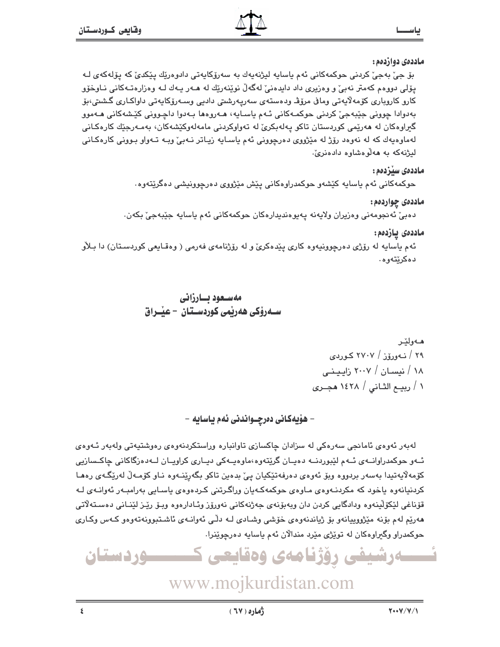### ماددەي دوازدەم :

بۆ جي بەجي كردنى حوكمەكانى ئەم ياسايە ليژنەپەك بە سەرۆكايەتى دادوەرێك يێكدى كە يۆلەكەي لـە يۆلى دووەم كەمتر نەبىؒ و وەزيرى داد دايدەنىؒ لەگەڵ نوێنەرێك لە ھـەر يـەك لـە وەزارەتـەكانى نـاوخۆو کارو کاروباری کۆمەلاّیەتی وماڧى مرۆڤ ودەستەی سەریەرشتی دادیی وسـەرۆکايەتی داواکـاری گـشتی،بۆ بەدوادا چوونی جێبەجێ کردنی حوکمـﻪکانی ٹـﻪم ياسـايه، ھـﻪروەھا بـﻪدوا داچـوونی کێـشەکانی ھـﻪموو گيراوهکان له هەرپمي کوردستان تاکو پەلەبکریؒ لە تەواوکردنی مامەلەوکپٚشەکان، بەمـەرجِبْك کارەکـانی لهماوهپهك كه له نهوهد رۆژ له مێژووي دەرچوونی ئهم پاسـاپه زیـِاتر نـهبیٚ وبـه تـهواو بـوونی كارەكـانی ليژنهکه به ههلوهشاوه دادهنریّ.

### ماددەى سىزدەم:

حوکمهکاني ئهم ياسايه کێشهو حوکمدراوهکاني پێش مێژووي دهرچوونيشي دهگرێتهوه٠

## ماددهي چواردهم:

دەبيٰ ئەنجومەنى وەزيران ولايەنە يەيوەندىدارەكان حوكمەكانى ئەم ياسايە جێبەجىٰ بكەن.

### ماددەى يازدەم:

ئهم ياسايه له رۆژې دهرچوونيهوه کارې پێدهکريّ و له رۆژنامهي فهرمي ( وهقـايعي کوردسـتان) دا بـلأو دەكرێتەوە.

> مەسىعود بسارزانى سـهروْکی ههریمی کوردسـتان - عیّــراق

# – هۆيەكانى دەرچـواندنى ئەم ياسايە –

لەبەر ئەوەي ئامانجى سەرەكى لە سزادان چاكسازى تاوانبارە وراستكردنەوەي رەوشتيەتى ولەبەر ئـەوەي ئــهو حوکمدراوانــهى ئــهم لێبوردنــه دەيــان گرێتهوه،ماوەيــهکى ديــارى کراويــان لــهدەزگاکانى چاکــسازيى کۆمەلايەتيدا بەسەر بردووه وبۆ ئەوەي دەرفەتێکيان پيّ بدەين تاکو بگەرپێنـﻪوە نـاو کۆمـﻪلْ لەرێگـﻪي رەھـا کردنیانهوه یاخود که مکردنـهوهی مـاوهی حوکمهکـهیان وراگـرتنی کـردهوهی یاسـایی بهرامبـهر ئهوانـهی لـه قۆناغی لێکۆلٚينەوە ودادگايی کردن دان وبەبۆنەی جەژنەکانی نەورۆز وئـادارەوە وبـۆ رێـز لێنـانی دەسـتەلاتی هەرێم لەم بۆنە مێژووپپانەو بۆ ژياندنەوەي خۆشى وشـادى لــه دڵـّى ئەوانــەي ئاشـتبوونەتەوەو كــەس وكـارى حوکمدراو وگيراوهکان له توێژی مێرد مندالان ئهم ياسايه دهرچوێنرا.

# ەرشىفى رۆژنامەي وەقايعى ك **وردستان**

# www.mojkurdistan.com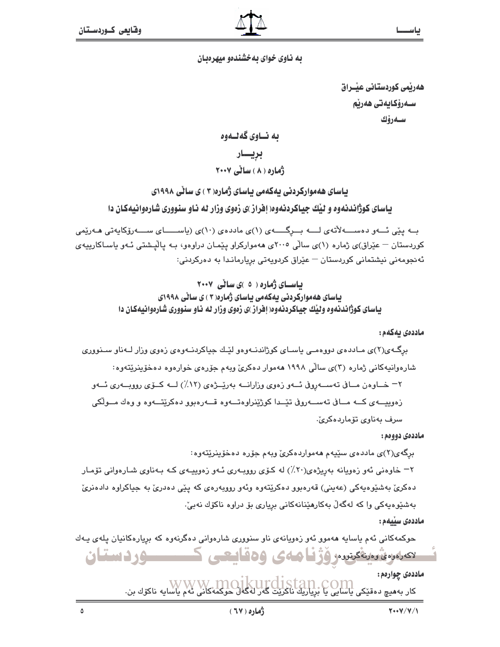به ناوی خوای بهخشندهو میهرهبان

ھەربمى كوردستانى عبىراق سـەرۆكـايەتى ھەرپم سـدرۆك

به نــاوي گهڻــهوه

بريسار

ژماره ( ۸ ) ساٽي ۲۰۰۷

باسای ههموارکردنی بهکهمی باسای ژماره( ۳ ) ی سانی ۱۹۹۸ی یاسای کوژاندنهوه و لیّك جیاكردنهوه( اِفراز )ی زهوی وزار له ناو سنووری شارهوانیهكان دا

بــه پێی ئـــهو دهســــهلأتهى لــــه بـــرگـــــهى (۱)ى ماددهى (۱۰)ى (ياســــــاى ســــهرزكايهتى هــهريمى کوردستان – عێراق)ی ژماره (۱)ی سالّی ۲۰۰۵ی ههموارکراو پێمان دراوهو، بـه پالیشتی ئـهو پاسـاکارپیهی ئەنجومەنى نیشتمانى كوردستان – عێراق كردويەتى بريارمانـدا بە دەركردنى:

### باسای ژماره ( ۰ )ی سانی ۲۰۰۷ یاسای ههموارکردنی یهکهمی یاسای ژماره( ۳ ) ی سانی ۱۹۹۸ی بـاسـاي کـوژانـدنـهوه وليّك جيـاکردنـهوه( اِفراز)ي زهوي وزار لـه نـاو سنـووري شـارهوانـيهکـان دا

#### ماددەى يەكەم :

برگ+ي(٢)ي مـاددهي دووهمـي ياسـاي كوژاندنــهوهو لێـك جياكردنــهوهي زهوي وزار لــهناو سـنووري شارهوانیهکانی ژماره (۳)ی سالّی ۱۹۹۸ ههموار دهکریّ وبهم جوّرهی خوارهوه دهخوّینریّتهوه: ۲– خــاوەن مــافى تەســەروفى ئــەو زەوى وزارانـــە بەرێــژەى (۱۲٪) لــە كــۆى رووبــەرى ئــەو زەوييـــەي كـــه مـــاڧى تەســـەروڧى تێـــدا كوژێنراوەتـــەوە قـــەرەبوو دەكرێتـــەوە و وەك مـــوڵكى سرف بەناوى تۆماردەكرىٰ.

ماددەي دووەم :

برگهي(٢)ي ماددهي سێپهم ههمواردهکريّ وبهم جۆره دهخوّينرێتهوه: ۲– خاوهنی ئەو زەويانە بەريژەی(۲۰٪) لە كۆی رووبـەری ئـەو زەوييـەی كـە بـەناوی شـارەوانی تۆمـار دهکري بهشتوهيهکي (عهيني) قهرهبوو دهکريتهوه وئهو رووبهرهي که پٽي دهدري به جياکراوه دادهنري بەشێوەپەكى وا كە لەگەڵ بەكارھێنانەكانى بريارى بۆ دراوە ناكۆك نەبىؒ.

ماددەى سىيەم:

حوکمهکانی ئهم یاسایه ههموو ئهو زهویانهی ناو سنووری شارهوانی دهگرنهوه که بریارهکانیان یلهی یـهك تكەرلەرە ئارىقكىتورەر ۋۇقا ھەي 16قانىھى كە ماددهي چوارهم: .<br>کار بەھيچ دەقێکى ياسايى يا برياريك 10 لـ 10 10 لـ 10 .<br>گەر لەگەل خوڭمەكانى ئەم ياسايە ناكۆك بن.

 $\Delta$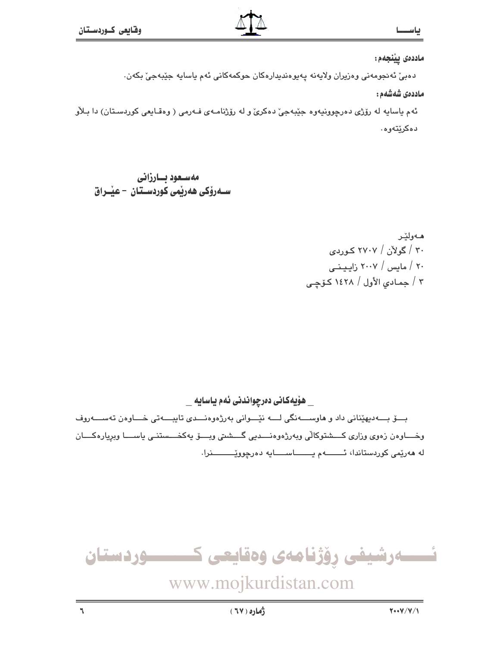### ماددەى يېنجەم:

دەبىٰ ئەنجومەنى وەزيران ولايەنە يەيوەندىدارەكان حوكمەكانى ئەم ياسايە جێبەجىٰ بكەن.

## ماددەى شەشەم :

ئهم ياسايه له رۆژى دەرچوونيەوە جێبەجىٚ دەكرىٰ و له رۆژنامـەی فـەرمى ( وەقـايعى كوردسـتان) دا بـلأو دەكرێتەوە.

مەسىعود بسارزانى سـەرۆكى ھەرپمى كوردسـتان – عيْــراق

> هەولێر ۳۰ / گولان / ۲۷۰۷ کوردی ۲۰ / مایس / ۲۰۰۷ زایینمی ٣ / جمادى الأول / ١٤٢٨ كۆچى

\_\_ هۆيەكانى دەرچواندنى ئەم ياسايە \_\_

بِسِقِ بِـــهِ دِيهِيْنانِي داد و هاوســـهِ نگي لـــه نيْـــوانى بِهرزهوهنـــدى تايبـــهتى خـــاوهن تهســـهروف وخساوهن زهوى وزارى كسشتوكالي وبهرژهوهنسديي گسشتي وبسۆ يەكخسستنىي ياسسا وبريارهكسان له ھەرێمى كوردستاندا، ئىسسەم يىسسىاسسىايە دەرچووێىسىسىنرا.

ئــــــەرشيفى رۆژنامەى وەقايعى كــــــــــوردستان

www.mojkurdistan.com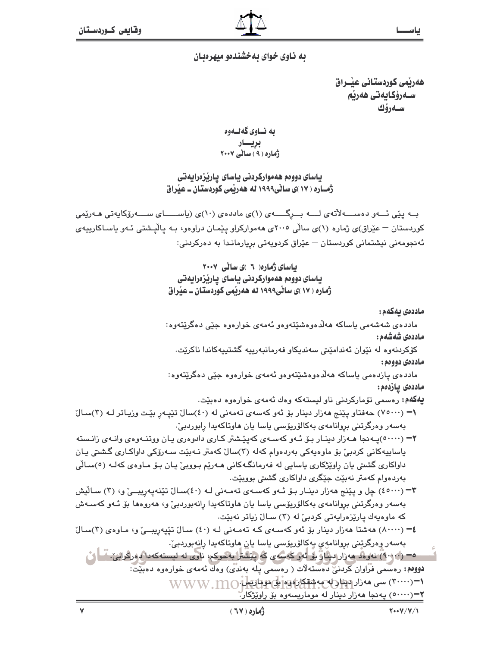هەربمى كوردستانى عبىراق سـەرۆكـايەتى ھەرپم سەرۆك

ىه نــاوى گەنــەوە بریسار<br>ژماره ( ۹ ) سائی ۲۰۰۷

یاسای دوومم ههموارکردنی یاسای یاریزمرایهتی ژمــاره ( ۱۷ )ی ساٽي۱۹۹۹ له ههريمي کوردستان ــ عيراق

بــه ینّی ئـــهو دهســــهلأتهى لــــه بـــرگـــــهى (۱)ى ماددهى (۱۰)ى (یاســـــاى ســــهرۆكايەتى هــهرێمى کوردستان – عێراق)ی ژماره (۱)ی سالّی ۲۰۰۵ی ههموارکراو پێمان دراوهو، بـه پالیشتی ئـهو پاسـاکارپیهی ئەنجومەنى نیشتمانى كوردستان – عێراق كردويەتى بريارمانىدا بە دەركردنى:

> ئاسای ژماره( ۲ )ی سالی ۲۰۰۷ یاسای دوومم ههموارکردنی یاسای پارپزدرایهتی ژماره ( ۱۷ )ی سائی۱۹۹۹ له ههرنمی کوردستان ــ عنراق

> > ماددەى بەكەم :

ماددەي شەشەمى ياساكە ھەلدەرەشێتەرەو ئەمەي خوارەوە جێى دەگرێتەرە: ماددەى شەشەم :

كۆكردنەوە لە نێوان ئەندامێتى سەندىكاو فەرمانبەرىيە گشتييەكاندا ناكرێت. ماددەي دووەم :

ماددەي پازدەمى باساكە ھەلدەوەشێتەوەو ئەمەي خوارەوە جێی دەگرێتەوە: ماددەى بازدەم:

**يەكەم:** رەسمى تۆماركردنى ناو ليستەكە وەك ئەمەي خوارەوە دەبێت.

- (٣ (٧٥٠٠٠) حەفتاو پێنج ھەزار دينار بۆ ئەو كەسەي تەمەنى لە (٤٠)سالٌ تێپەرِ بێت وزياتر لــه (٣)سـالٌ بەسەر وەرگرتنى بروانامەي بەكالۆرپۆسى ياسا يان ھاوتاكەيدا رابوردېيّ.
- ۲= (۵۰۰۰۰)پـه نجا هـهزار دينـار بـۆ ئـهو كهسـهى كهيێشتر كـارى دادوهرى يـان ووتنـهوهى وانـهى زانـسته یاساییەکانی کردبیؒ بۆ ماوەیەکی بەردەوام کەلە (۳)سالؒ کەمتر نـەبێت سـەرۆکی داواکـاری گـشتی یـان داواکاری گشتی یان رِاوێژکاری یاسایی له فهرمانگهکانی هـهرێم بـووبیٚ یـان بـۆ مـاوهی کهلـه (٥)سـالْی بەردەوام كەمتر نەبێت جێگرى داواكارى گشتى بووبێت.
- ٣– (٤٥٠٠٠) چل و پێنج هەزار دینـار بـۆ ئـهو كهسـهى تهمـهنى لـه (٤٠)سـالٌ تێنهيەريبــێ و، (٣) سـالْيش بەسەر وەرگرتنى بروانامەي بەكالۆرپۆسى ياسا يان ھاوتاكەيدا رانەبوردىبىؒ و، ھەروەھا بۆ ئـەو كەسـەش که ماوهیهك پارێزەرایەتی کردیے ٌ له (۳) سـالٌ زیاتر نەبێت.
- ٤– (٨٠٠٠٠) ههشتا ههزار دينار بۆ ئەوكەسەي كـه تەمـەنى لـه (٤٠) سـالٌ تێيەريبــێ و، مـاوەي (٣)سـالٌ بەسەر وەرگرتنى بروانامەي بەكالۆريۆسى ياسا يان ھاوتاكەيدا رانەبوردىي.

۰۵ (۹۰۰۰) نه وفد هه زار دیثان بر ابنو که سهی که پیشترا به حوکم، ناوی له لیسته که دا دورگرایی کما ای دووهم: رەسمى فَرَاوان كَردنيّ دەستەلات ( رەسمى يله بەندى) وەڭ ئەمەي خوارەوە دەبيّت: V (٣٠٠٠٠) سى مەزار دېنار له مەشقكار دورابى دورازىيان W W W W ۲=(٥٠٠٠٠) پهنجا هەزار دینار له موماریسەوه بۆ راوێژکار."

ژماره ( ٦٧ )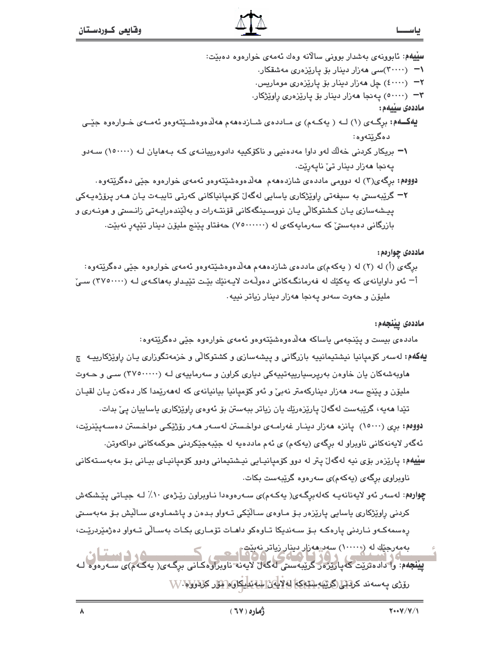سليههم: ئابوونەي بەشدار بوونى سالانە وەك ئەمەي خوارەوە دەبێت: ۱<del>–</del> (۳۰۰۰۰)سی هەزار دینار بۆ پارێزەری مەشقکار. ۲= (٤٠٠٠٠) چل هەزار دینار بۆ يارێزەرى موماریس. ۳– (۵۰۰۰۰) پەنجا ھەزار دىنار بۆ يارێزەرى راوێژكار. ماددەى سىلەم: **یهکــهم:** برگــهي (۱) لــه ( یهکــهم) ی مــاددهی شــازدهههم ههلّدهوهشــێتهوهو ئهمــهی خــوارهوه جێـی دهگرێتەوھ: ۱= بریکار کردنی خهال لهو داوا مهدهنیی و ناکوکییه دادوهرییانـهی کـه بـههایان لـه (۱۵۰۰۰۰) سـهدو يەنجا ھەزار دينار تىّ ناپەرێت. **دووهم:** بږگه ی(۳) له دوومی مادده ی شازدهههم ههالدهوهشینتهوهو ئهمهی خوارهوه جیّی دهگریتتهوه. ۲– گرێبەستى بە سىفەتى راوێژكارى ياسايى لەگەل٘ كۆميانياكانى كەرتى تايبـەت يـان مـەر يرۆژەيـەكى

پیشهسازی پـان کـشتوکالّی پـان نووسـینگهکانی قۆنتـهرات و بهڵێندهراپـهتی زانـستی و هونـهری و بازرگانی دهبهستیؒ که سهرمایهکهی له (۷۵۰۰۰۰۰۰) حهفتاو پێنج ملیو٘ن دینار تێپهر نهبێت.

ماددهۍ چوارهم:

- برگهي (أ) له (٢) له ( پهکهم)ي ماددهي شازدهههم ههلُدهوهشێتهوهو ئهمهي خوارهوه جێي دهگرێتهوه:
- أ– ئەو داوايانەي كە پەكێك لە فەرمانگەكانى دەوڵەت لاپەنێك بێت تێپداو بەھاكەي لـە (٣٧٥٠٠٠٠) سىێ مليۆن و حەوت سەدو پەنجا ھەزار دىنار زياتر نييە .

#### ماددەى يېنجەم:

مادده ی بیست و پێنجهمی یاساکه ههڵدهوهشێتهوهو ئهمهی خوارهوه جێی دهگرێتهوه:

- **بېهکهم:** لهسهر کۆميانيا نيشتيمانييه بازرگاني و پيشهسازي و کشتوکالي و خزمهتگوزاري يـان راوێژکاريپـه چ هاوبهشهکان یان خاوهن بهریرسیارییهتییهکی دیاری کراون و سهرماییهی لـه (۳۷۵۰۰۰۰۰) سـی و حـهوت مليۆن و پێنج سهد هەزار ديناركەمتر نەبىؒ و ئەو كۆميانيا بيانيانەي كە لەھەرێمدا كار دەكەن يان لقيـان تٽِدا هەپە، گرێبەست لەگەلٚ پارێزەرێك پان زياتر بېەستن بۆ ئەوەي راوێژكارى پاساپيان يېٚ بدات.
- دووهم: بری (١٥٠٠٠) یانزه هەزار دینـار غەرامـەی دواخـستن لەسـەر هـەر رۆژێِکـی دواخـستن دەسـەيێنرێت،
	- ئەگەر لايەنەكانى ناوبراو لە برگەي (يەكەم) ي ئەم ماددەيە لە جێبەجێكردنى حوكمەكانى دواكەوتن.
- **سیّیهم:** پاریّزهر بۆی نیه لهگهلٌ پتر له دوو کۆمپانیـایی نیـشتیمانی ودوو کۆمپانیـای بیـانی بـۆ مەبەسـتەکانی ناوبراوی برگەی (پەكەم)ى سەرەوە گرێبەست بكات.
- چوارهم: لهسهر ئهو لايهنانهيـه كهلهبرگـهي( يهكـهم)ي سـهرهوهدا نـاويراون رێـژهي ١٠٪ لـه جيـاتي يێشكهش کردنی راوێژکاری یاسایی پارێزەر بـۆ مـاوەی سـالٚێکی تـﻪواو بـدەن و پاشمـاوەی سـالٚیش بـۆ مەبەسـتی رەسمەكـەو نـاردنى يارەكـە بـۆ سـەندېكا تـاوەكو داھـات تۆمـارى بكـات بەسـالّى تـەواو دەژمێردرێـت،
- و د است که بارکور کرده کرد. است است که است که است این در است این در است که بارک است.<br>پینچهم: وا دادهثریت که پاریزهر گریبهستی لهگهان لایهنه ناوبراوهکانی برگهی( یهکهم)ی سـهرهوه لـه رۆژى پەسەند كرانتى گريپەستەكتا لەلاپەن سەتمايكارە ئۆل كرانولا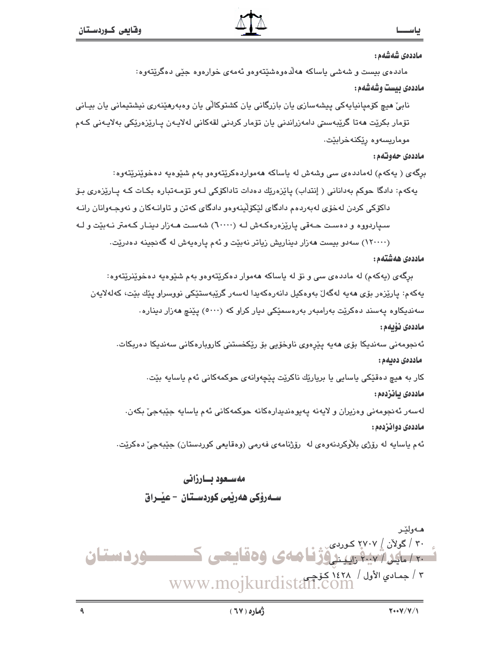#### ماددەى شەشەم :

مادده ی بیست و شهشی پاساکه ههلّاهوهشێتهوهو ئهمهی خوارهوه جێی دهگرێتهوه: ماددەى بېست وشەشەم:

نابيؒ هيچ كۆميانيايەكى پيشەسازى يان بازرگانى يان كشتوكالى يان وەبەرھێنەرى نيشتيمانى يان بيـانى تۆمار بكرێت مەتا گرێبەستى دامەزراندنى يان تۆمار كردنى لقەكانى لەلايـەن پـارێزەرێكى بەلايـەنى كـەم موماريسەوە رێكنەخرابێت.

#### ماددەي حەوتەم:

برگەي ( پەكەم) لەماددەي سى وشەش لە پاساكە ھەمواردەكرێتەوەو بەم شێوەپە دەخوێنرێتەوە:

يەكەم: دادگا حوكم بەدانانى ( إنتداب) ياێزەرێك دەدات تاداكۆكى لـەو تۆمـەتبارە بكـات كـە يـارێزەرى بـۆ داکۆکی کردن لەخۆی لەبەردەم دادگای لێکۆلێنەوەو دادگای کەتن و تاوانـەکان و نەوجـەوانان رانـە سیاردووه و دهست حـهقی پارێزهرهکهش لـه (٦٠٠٠٠) شهست هـهزار دینـار کـهمتر نـهبێت و لـه

(۱۲۰۰۰۰) سەدو بیست ھەزار دیناریش زیاتر نەبێت و ئەم یارەپەش لە گەنجینە دەدرێت.

#### ماددەى ھەشتەم:

برگهی (پهکهم) له ماددهی سی و نۆ له پاساکه ههموار دهکرێتهوهو بهم شێوهپه دهخوێنرێتهوه: يەكەم: يارێزەر بۆی ھەيە لەگەلْ بەوەكيل دانەرەكەيدا لەسەر گرێبەستێكى نووسراو يێك بێت، كەلەلايەن سەندىكاوە يەسند دەكريْت بەرامبەر بەرەسمێكى ديار كراو كە (٥٠٠٠) يێنچ ھەزار دىنارە٠ ماددەى نۆبەم :

ئەنجومەنى سەندىكا بۆى ھەيە يێرەوى ناوخۆيى بۆ رێكخستنى كاروبارەكانى سەندىكا دەربكات. ماددەى دەيەم :

کار به هيچ دهقێکی پاسايی يا بريارێك ناکرێت پێڇهوانهی حوکمهکانی ئهم پاسايه بێت. ماددەى يانزدەم :

لەسەر ئەنجومەنى وەزيران و لايەنە يەبوەندېدارەكانە حوكمەكانى ئەم ياسايە جێبەجىٚ بكەن٠ ماددەي دوانزدەم :

ئهم ياسايه له رۆژى بلاوكردنەوەي لە رۆژنامەي فەرمى (وەقايعى كوردستان) جێبەجىٚ دەكرێت.

# مەسىعود بسارزانى ســەرۆكى ھەرپمى كوردســتان – عيـْــراق

هەولێر ۳۰ / <sub>گولان</sub> / ۲۷۰۷ <sub>کوردی.</sub><br>۲۰ / مایل / ۲۰۰۳ زیدنی فرز**نیا هه ی وه قاییعی ک -9 د دستان** ٣ / جمادي الأول / ١٤٢٨ كوچيو WWW.mojkurdistan.com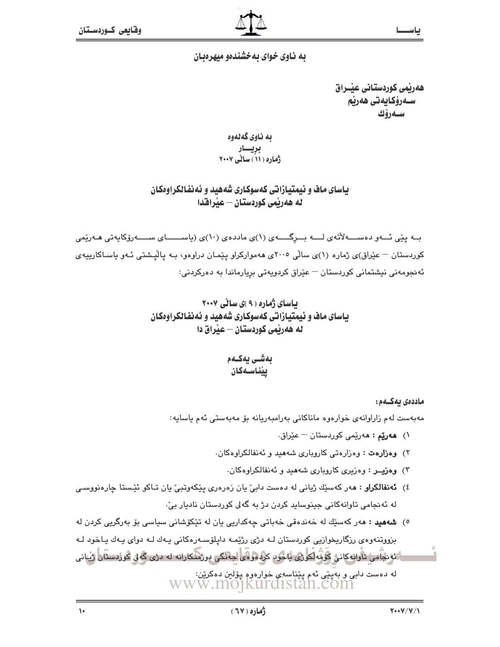#### به ناوی خوای به خشندهو میهرهبان

هەريمى كوردستانى عيــراق ســەرۆكـايەتى ھەرپم سـەرۆك

ىە ناوي گەنەوە بریسار<br>ژماره ( ۱۱ ) ساٽي ۲۰۰۷

#### باسای ماف و نیمتیازاتی کهسوکاری شههید و نهنفالکراوهکان له هەربمى كوردستان — عيراقدا

بــه پێی ئـــهو دهســــهلأتهى لــــه بـــرگـــــهى (١)ى ماددهى (١٠)ى (ياســــــاى ســـــهرۆكايەتى هــهرێمى کوردستان — عێراق)ی ژماره (۱)ی سالّی ۲۰۰۵ی ههموارکراو پێمان دراوهو، بـه پالٚپـشتی ئـهو یاسـاکارییهی ئەنجومەنى نيشتمانى كوردستان – عێراق كردويەتى بريارماندا بە دەركردنى:

### بیاسای ژماره ( ۹ )ی سائی ۲۰۰۷ یاسای ماف و نیمتیازاتی کهسوکاری شههید و نهنفالکراوهکان له هەربمى كوردستان — عيراق دا

#### بەشى يەكـەم ىنناسەكان

#### ماددەى بەكــەم:

مەبەست لەم زاراوانەي خوارەوە ماناكانى بەرامبەريانە بۆ مەبەستى ئەم ياسايە:

- ۱) <mark>مەرىم : م</mark>ەرىمى كوردستان <sup>ــ</sup> ع<u>ىراق</u>.
- ۲) وه**زارهت :** وهزارهتي كاروباري شههيد و ئهنفالكراوهكان.
	- ۳) وهزیم : وهزیری کاروباری شههید و ئهنفالکراوهکان.
- ٤) **ئەنفالكراو : م**ەر كەسێك ژيانى لە دەست دابى يان زەرەرى يێكەوتبى يان تـاكو ئێستا چارەنووسـى له ئەنجامى تاوانەكانى جېنوسايد كردن دژ بە گەلى كوردستان ناديار بى،
- ٥) **شەھىد : م**ەر كەسىيك لە خەندەقى خەباتى چەكدارىي يان لە تېكۆشانى سياسى بۆ بەرگرىي كردن لە بزووتنەوەي رزگاريخوازيى كوردستان لـه دژى رژيمـه دايلۆسـەرەكانى يـەك لـه دواي يـەك يـاخود لـه اکودیامی تارانه کانی گُرْمُه لکرزی یاخور کرده ولای جهنگی درزمنکارانه له دری گول گرزدستان اژیانی له دهست دابی و بهٔپێی نَهم پێناسهی خوارهوم پۆلین دهکرێن:<br>WWW.MO]KUrd1Stan.COM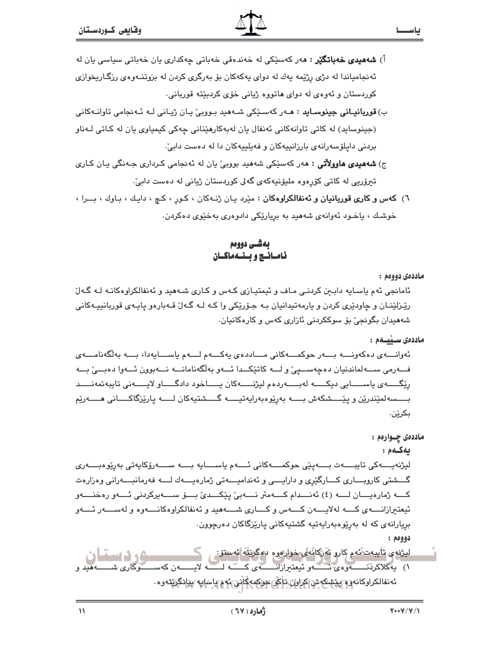- ب) **قوربانیـانی جینوسـاید** : هــهر کهسـێکی شــههید بـووبیٚ یـان ژیـانی لــه ئــهنجامی تاوانــهکانی (جینوساید) له کاتی تاوانهکانی ئەنفال یان لەبەکارهێنانی چەکی کیمیاوی یان لە کـاتی لـەناو بردنی داپلۆسەرانەی بارزانییەکان و فەيلييەكان دا لە دەست دابیؒ.
- ج) **شههيدي ماوولاتي : م**هر کهسٽکي شههيد بووييّ بان له ئهنجامي کرداري جـهنگي بـان کـاري تیرۆریی له کاتی کۆرەوە ملیۆنیەکەی گەلی کوردستان ژیانی له دەست دابیؒ.
- ٦) کهس و کاری قوربانیان و ئهنفالکراوهکان : مێرد یـان ژنـهکان ، کـورِ ، کـچ ، دایـك ، بـاوك ، بـــرا ، خوشك ، پاخود ئەوانەي شەھىد بە بريارێكى دادوەرى بەخێوى دەكردن.

#### بەشى دووەم ناميانيج وبينيه ماكيان

ماددەي دووەم :

ئامانجي ئهم باسابه دابین کردنبي ماف و ئيمتيازي کـهس و کـاري شـههيد و ئهنفالکراوهکانـه لـه گـهلّ رێزلێنـان و چاودێری کردن و پارمهتیدانیان بـه جـۆرێکی وا کـه لـه گـهلّ قـهبارهو پایـهی قوربانییـهکانی شههيدان بگوئجێ بۆ سوككردنى ئازارى كەس و كارەكانيان.

ماددەى سىيىلەم :

ئەوانىسەي دەكەونىسە بىسەر حوكمىسەكانى مىساددەي يەكسەم لىسەم ياسسايەدا، بىسە بەلگەنامىسەي فعورمی سعه لماندنیان ده چهســدِیّ و لــه کاتێکــدا ئــهو بهلّگهنامانــه نــهبوون ئــهوا دهبــیّ بــه ريگــــهى ياســــايى ديكــــه لهبــــهردهم ليژنــــهكان يــــاخود دادگــــاو لايــــهنى تايبهتمهنــــد بــــسەلمێندرێن و پێـــــشکەش بــــــه بەرێوەبەرايەتيــــــه گــــشتيەکان لـــــه يارێزگاکــــانى مــــــەرێم بكرێٟن.

#### ماددهۍ چــوارهم :

بەكلەم: ليژنەيــــەكى تايبــــەت بــــەيێى حوكمــــەكانى ئــــەم ياســــايە بــــە ســــەرۆكايەتى بەرێوەبــــەرى گـــشتى كاروبــــارى كــــارگێرى و دارايــــى و ئەنداميـــــەتى ژمارەيـــــەك لـــــە فەرمانبـــــەرانى وەزارەت كه ژمارهيان له (٤) ئەنىدام كىلەمتر نىلەبى يېكىدى بىق سىلەيركرىنى ئىلەر رەخنىلەر ئیعتیرازانــــهى كــــه لهلایـــــهن كــــهس و كــــارى شــــهمید و ئهنفالكراوهكانــــهوه و لهســــهر ئــــهو بريارانهي كه له بهريوهبهرايهتيه گشتيهكاني ياريزگاكان دهرچوون.  $:$  AD992

لیژنەی تأیبەت ئەم كارو ئەزگانەى خوارەوم بەگریتە ئەستۆ: ١) به كلاكرنت سوه ي نسب و ئيعتبرازانسته ي كنشه لسبه لايسته ن كه سب ــو کار ے، ن ٮُه نفا لکراوکانه و ۾ <sub>ا</sub>يٽشِکه ش کراول تاک<mark>و عواکمه کاني بُه ۾ يا سان " بيانگريٽ</mark>ه وه .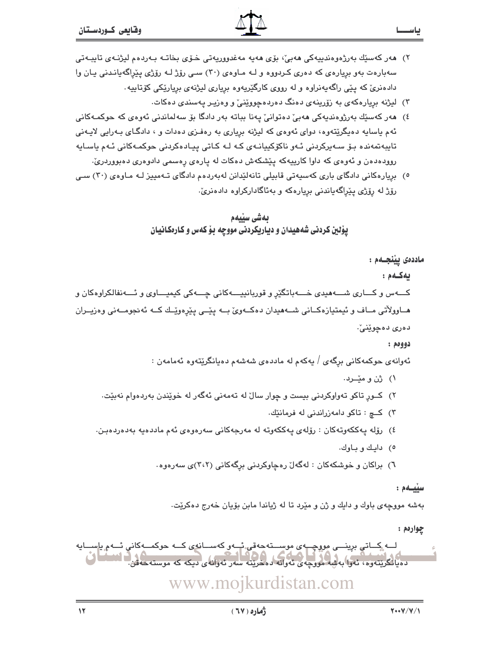- ۲) ھەر كەسێك بەرژەوەندىيەكى ھەبىؒ، بۆى ھەيە مەغدووريەتى خـۆى بخاتـە بـەردەم ليژنـەى تايبـەتى سهبارهت بهو بریارهی که دهری کردووه و لـه مـاوهی (٣٠) سـی رۆژ لـه رۆژی پێراگهپانـدنی پـان وا دادهنری که پێی راگهیهنراوه و له رووی کارگێریهوه بریاری لیژنهی بریارێکی کۆتاپیه.
	- ۳) لیژنه بریارهکهی به زۆرینهی دهنگ دهردهچووینئی و وهزیـر یهسندی دهکات.
- ٤) ھەر كەسێك بەرژوەنديەكى ھەبىؒ دەتوانیؒ يەنا بباتە بەر دادگا بۆ سەلماندنى ئەوەي كە حوكمـﻪكانى ئهم یاسایه دهیگریتهوه، دوای ئهوهی که لیژنه بریاری به رهفـزی دهدات و ، دادگـای بـهرایی لایـهنی تايبەتمەندە بۆ سەپركردنى ئـەو ناكۆكپيانـەي كـە لـە كـاتى پيـادەكردنى حوكمـەكانى ئـەم ياسـايە روودهدهن و ئەوەي كە داوا كارىيەكە پێشكەش دەكات لە پارەي رەسمى دادوەرى دەبووردرىؒ.
- ٥) بریارەكانی دادگای باری كەسپەتی قابیلی تانەلێدانن لەبەردەم دادگای تـەمىيز لـە مـاوەی (٣٠) سـی رۆژ له رۆژى يێراگەياندنى بريارەكە و بەئاگاداركراوە دادەنرىّ.

#### بەشى سێيەم یوْلین کردنی شههیدان و دیاریکردنی مووجه بوْ کهس و کارهکانیان

ماددەى يێنجـەم :

بەكلەم:

کـــهس و کــــاری شــــهمیدی خــــهباتگێرِ و قوربانییــــهکانی چــــهکی کیمیــــاوی و ئــــهنفالکراوهکان و هـاوولاتي مـاف و ئيمتيازهكـاني شـههيدان دهكـهوئ بـه پێـي پێڕهوێـك كـه ئهنجومـهني وهزيـران دەرى دەچوپنى،

#### $:$   $0.994$

ئەوانەي حوكمەكانى برگەي / يەكەم لە ماددەي شەشەم دەيانگرێتەوە ئەمامەن :

- ۱) ژن و مێـــرد.
- ٢) کــور تاکو تهواوکردنی بیست و چوار سالٌ له تهمهنی ئهگهر له خوێندن بهردهوام نهبێت.
	- ٣) کے : تاکو دامهزراندنی له فرمانێك.
- ٤) رۆلە يەككەوتەكان : رۆلەي يەككەوتە لە مەرجەكانى سەرەوەي ئەم ماددەيە بەدەردەبىن.
	- ٥) دايك وباوك.
	- ٦) براکان و خوشکهکان : لهگهلّ رهچاوکردنی برگهکانی (۳،۲)ی سهرهوه .

#### سيّيـهم:

بهشه مووجهي باوك و دايك و ژن و مێرد تا له ژياندا مابن بۆيان خەرج دەكريّت.

چوارهم :

لـــه کـــاتي برينـــی موږچـــه ی موســـته جه قی ئـــه و که ســـانهی کـــه حوکمـــه کاني ئـــه م بإســـايه دهیانگریتهوه، نهوا به شه مووچهی نهوانه ده دریته سهر نهوانهی دیکه که موسته خهقن. انفضای ز www.mojkurdistan.com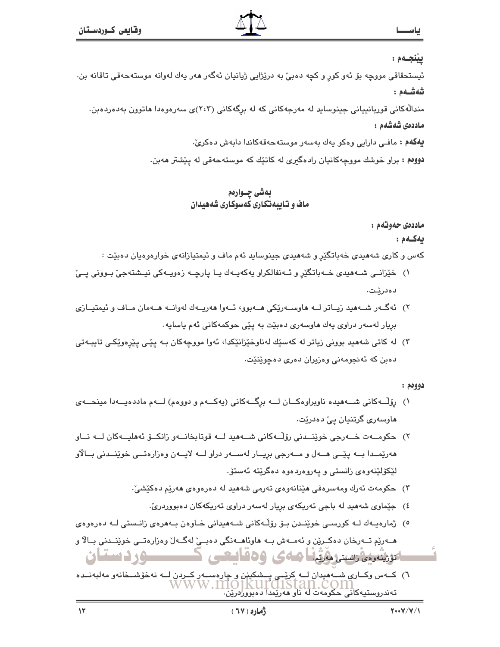ينتجلهم :

ئيستحقاقي مووچه بۆ ئەو كور و كچە دەبئ بە درێژاپى ژيانيان ئەگەر ھەر يەك لەوانە موستەحەقى تاقانە بن. شەشــەم :

مندالهکانی قوربانییانی جینوساید له مەرجەکانی که له برگەکانی (۲،۲)ی سەرەوەدا ھاتوون بەدەردەبن. ماددەى شەشەم :

**يەكەم:** مافـى دارايى وەكو يەك بەسەر موستەحەقەكاندا دابەش دەكرىّ.

دووهم : براو خوشك مووجهكانيان رادهگيري له كاتێك كه موستهحهقي له پێشتر ههبن.

#### بەشى چــوارەم ماف و تابیهتکاری کهسوکاری شههیدان

ماددەي حەوتەم :

بەكـەم :

کهس و کاری شههیدی خهباتگیّر و شههیدی جینوساید ئهم ماف و ئیمتیازانهی خوارهوهیان دهبیّت :

- ۱) خێزانــی شــهمیدی خــهباتگێر و ئــهنفالکراو پهکهپــهك پــا پارچــه زهوپــهکی نپــشتهجیٚ بــوونی پــیٚ دەدرتت.
- ۲) ئەگــەر شــەھید زیــاتر لــە ھاوســەرێکى ھــەبوو، ئــەوا ھەرپــەك لەوانــە ھــەمان مــاف و ئیمتیــازى بريار لەسەر دراوي يەك ھاوسەرى دەبێت بە يێي حوكمەكانى ئەم ياسايە٠
- ۳) له کاتي شههيد پووني زياتر له کهسٽِك لهناوخٽِزانٽِکدا، ئهوا مووجهکان بـه پٽِي پٽِرهوٽِکي تابيـهتي دەبن كە ئەنجومەنى وەزيران دەرى دەچوێنێت.

دوودم :

- ۱) رۆڵــهکانی شـــههیده ناوبراوهکــان لـــه برگـــهکانی (پهکـــهم و دووهم) لـــهم ماددهیـــهدا مینحـــهی هاوسەرى گرتنيان يې دەدريت.
- ۲) حکومــهت خــهرجي خوێنــدني رۆڵــهکاني شــههيد لـــه قوتابخانــهو زانکــۆ ئههليــهکان لــه نــاو هەرێمىدا بــه پێــی هـــهل و مـــهرجی بریـــار لهســـهر دراو لـــه لایـــهن وەزارەتــی خوێنــدنی بــالاو لێػۆلێنەوەى زانستى و پەروەردەوە دەگرێتە ئەستۆ.
	- ٣) ڪومهت ئەرك ومەسرەفى ھێنانەوەي تەرمى شەھىد لە دەرەوەي ھەرێم دەكێشێ.
		- ٤) جێماوي شەھىد لە باجى تەرىكەي بريار لەسەر دراوى تەرىكەكان دەبووردرىّ.
- ٥) ژمارەپـﻪك ﻟـﻪ ﻛﻮﺭﺳـﻲ ﺧﻮێﻨـﺪﻥ ﺑـﯚ ﺭﯙﻟـﻪﻛﺎﻧﻲ ﺷـﻪﻫﭙﺪﺍﻧﻲ ﺧـﺎﻭﻩﻥ ﺑـﻪﻫﺮﻩﻱ ﺯﺍﻧـﺴﺘﻲ ﻟـﻪ ﺩﻩﺭﻩﻭﻩﻱ

هــهرێم تــهرخان دەكــرێن و ئەمــەش بــه هاوئاهــەنگى دەبــێ لەگــەلٚ وەزارەتــى خوێنــدنى بــالاْ و اتزرتنوه دسترهوتيا هاى وهقاسعى **مستقرر در ستان** 

٦) کــهس وکــاری شـــهمیدان لـــه کرێـــي پـــشکینن و چارهســـهر کــردن لـــه نهخوّشــخانهو مهلبهنــده<br>WWW.INO1KUI\*CIStan.COM تەندروستيەكانى ُ حَكَومَەت لَهُ نَاوْ هَەرَيِّمَداً دُەبْوورْدْرَيْنَ.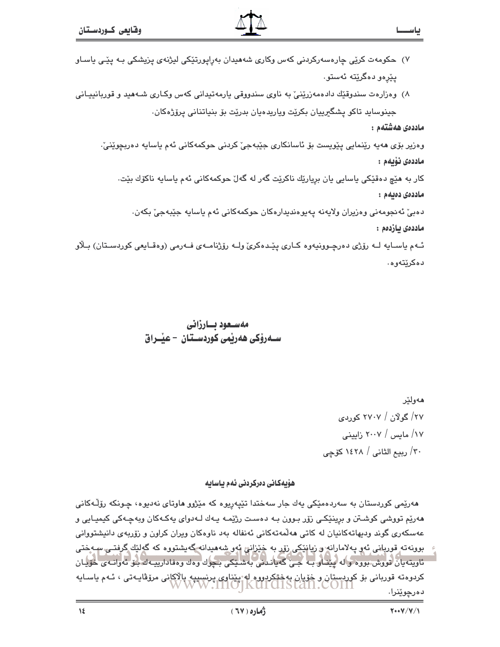- ۷) حکومهت کرێی چارهسهرکردنی کهس وکاری شههیدان بهراپورتێکی لیژنهی پزیشکی بـه پێـی یاسـاو يێرەو دەگرێتە ئەستو.
- ۸) وەزارەت سندوقێك دادەمەزرێنىێ بە ناوى سندووقى يارمەتيدانى كەس وكـارى شـەھىد و قوربانييـانى جينوسايد تاکو پشگيرييان بکرێت وياريدەيان بدرێت بۆ بنياتناني پرۆژەکان.

ماددەى ھەشتەم :

وەزير بۆی ھەيە رێنمايي پێويست بۆ ئاسانكاری جێبەجێ كردنی حوكمەكانی ئەم ياسايە دەربچوێنێ٠. ماددەى نۆيەم:

کار به هێچ دەقێکی ياسايی يان بريارێك ناکرێت گەر لە گەلٚ حوکمەکانی ئەم ياسايە ناکۆك بێت٠ ماددەى دەئلەم:

دەبيٰ ئەنجومەنى وەزيران ولايەنە يەيوەندىدارەكان حوكمەكانى ئەم ياسايە جێبەجيٚ بكەن٠

ماددەى يازدەم :

ئـهم ياسـايه لـه رۆژى دەرچـوونيەوە كـارى پێـدەكرىّ ولـه رۆژنامـەى فـەرمى (وەقـايعى كوردسـتان) بـلاو دەكرٽتەوھ.

> مەسىعود ئىبارزانى ســهروْکی ههریمی کوردســتان – عیـّــراق

> > هەولێر ۲۷/ گولان / ۲۷۰۷ کوردی ۱۷/ مایس / ۲۰۰۷ زایینی ٣٠/ ربيع الثاني / ١٤٢٨ كۆچى

ھۆيەكانى دەركردنى ئەم ياسايە

هەرێمی کوردستان بە سەردەمێکی يەك جار سەختدا تێپەرپوە کە مێژوو ماوتای نەدىوە، چـونکە رۆڵـەکانی هەرێم تووشی کوشـتن و برینێکـی رۆر بـوون بـه دەسـت رژێمـه پـهك لـهدوای پهکـهکان وبهچـهکی کیمیـایی و عهسکهری گوند ودیهاتهکانیان له کاتی ههلّمهتهکانی ئهنفاله بهد ناوهکان ویران کراون و زۆربهی دانیشتووانی بوونهته قورباني ئەو پەلامارانە و زيانێکي زۆر بە چێزانی ئەو شەھىدانە گەيشتووە کە گەلێك گرفتــی سـەختى ئاويتەيان تورش بورە و له پيتاو بـه حـي گەيانـدنى بەشليكى بـجوك رەك رەفادارييـەك بـق ئەرانـەي خويـان دەرچوێنرا.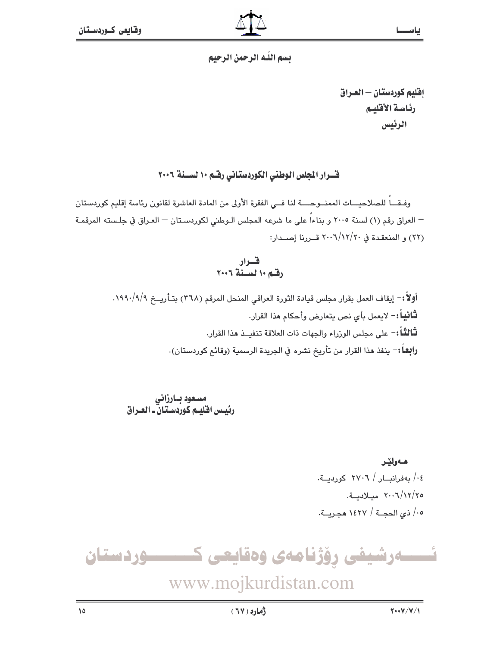#### يسم اللبه الرحمن الرحيم

إقليم كوردستان – العراق رئاسة الأقليم الرئيس

قسرار المجلس الوطني الكوردستاني رقسم ١٠ لسسنة ٢٠٠٦

وفـقـــاً للصلاحيـــات الممنــوحــــة لنا فــى الفقرة الأولى من المادة العاشرة لقانون رئاسة إقليم كوردستان – العراق رقم (١) لسنة ٢٠٠٥ و بناءاً على ما شرعه المجلس الـوطني لكوردسـتان – العـراق في جلـسته المرقمـة (٢٢) و المنعقدة في ٢٠٠٦/١٢/٢٠ قبررنا إصدار:

قـــرار<br>رقـــم ۱۰ لســـــــــة ۲۰۰٦

أولاًً :- إيقاف العمل بقرار مجلس قيادة الثورة العراقي المنحل المرقم (٣٦٨) بتـأريــخ ١٩٩٠/٩/٩. **ثَـانيـاً** :- لايعمل بأى نص يتعارض وأحكام هذا القرار. لْتَالِمَـَّأَ:- على مجلس الوزراء والجهات ذات العلاقة تنفيــذ هذا القرار. رابِعاً :- ينفذ هذا القرار من تأريخ نشره في الجريدة الرسمية (وقائم كوردستان).

مسعود بــارزاني<br>رئيــس افليــم كوردسـتـان ـ العــراق

مەولتى ١٠٤/ يەڧرانىسار / ٢٧٠٦ كۈردىيــة. ٢٠٠٦/١٢/٢٥ ميلادية. ٠٥/ ذي الحجــة / ١٤٢٧ هجـريــة.

ئــــــهرشیفی رۆژنامەی وەقايعی ک ــــودستان

www.mojkurdistan.com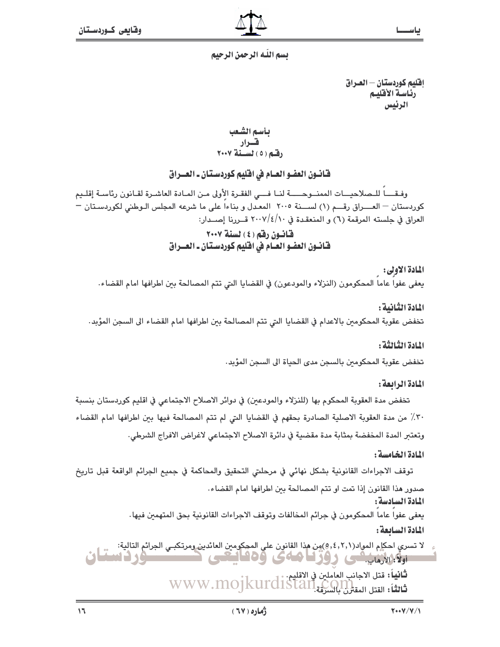#### يسم اللّه الرحمن الرحيم

إقليم كوردستان — العـراق رئاسة الأقليم الرئيس

بأسم الشّعب 

فانسون العضو العسام في افليم كوردستان ـ العسراق

وفقـــاً للـصلاحيــات الممنــوحــــة لنـا فـــي الفقـرة الأولى مـن المـادة العاشـرة لقـانون رئاسـة إقلـيم كوردستان — العــــراق رقــــم (١) لســــنة ٢٠٠٥ المعـدل و بناءا على ما شرعه المجلس الـوطني لكوردسـتان — العراق في جلسته المرقمة (٦) و المنعقدة في ٢٠٠٧/٤/١٠ قــررنا إصــدار:

#### قانيون رقم (٤) لسنة ٢٠٠٧ قـانــون العضـو العــام في افـليم كـوردسـتـان ــ العـــراق

المادة الأولى: يعفي عفوا عاما المحكومون (النزلاء والمودعون) في القضايا التي تتم المصالحة بين اطرافها امام القضاء.

المادة الثنانية :

تخفض عقوبة المحكومين بالاعدام في القضايا التي تتم المصالحة بين اطرافها امام القضاء الى السجن المؤبد.

المادة الثنالثة :

تخفض عقوبة المحكومين بالسجن مدى الحياة الى السجن المؤبد.

المادة الرابعة :

تخفض مدة العقوبة المحكوم بها (للنزلاء والمودعين) في دوائر الاصلاح الاجتماعي في اقليم كوردستان بنسبة ٣٠٪ من مدة العقوبة الاصلية الصادرة بحقهم في القضايا التي لم تتم المصالحة فيها بين اطرافها امام القضاء وتعتبر المدة المخفضة بمثابة مدة مقضية في دائرة الاصلاح الاجتماعي لاغراض الافراج الشرطي.

المادة الخامسة:

توقف الاجراءات القانونية بشكل نهائي في مرحلتي التحقيق والمحاكمة في جميع الجرائم الواقعة قبل تاريخ صدور هذا القانون إذا تمت او تتم المصالحة ببن اطرافها امام القضاء. المادة السادسة:

يعفي عفوا عاما المحكومون في جرائم المخالفات وتوقف الاجراءات القانونية بحق المتهمين فيها.

المادة السائعة :

لا تسري احكام المواد(٤,٤,٢,١)مِن هذا القانون على المجكومين العائدين ومرتكبـي الجرائم التالية: الگانان شى روزنامەي ۋەئانتى

ثانياً: قتل الاجانبِ العاملين في الاقليم.<br>ثالثاً: القتل المقترن بالسرقة WWW.MOjkurdiStan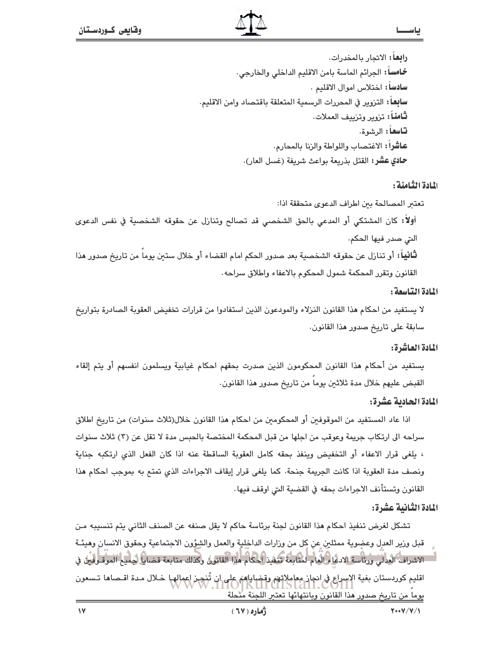**رابعا:** الاتجار بالمخدرات. خامساً: الجرائم الماسة بامن الاقليم الداخلي والخارجي. سادساً: اختلاس اموال الاقليم . سابعاً؛ التزوير في المحررات الرسمية المتعلقة باقتصاد وامن الاقليم. **ثـّامنــ**اً : تـزوير وتـزييف العملات. قاسعاً: الرشوة. عاشراً: الاغتصاب واللواطة والزنا بالمحارم. حادي عشر: القتل بذريعة بواعث شريفة (غسل العار).

#### المادة الثامنة :

تعتبر المصالحة ببن اطراف الدعوى متحققة اذا:

أولاً: كان المشتكى أو المدعي بالحق الشخصي قد تصالح وتنازل عن حقوقه الشخصية في نفس الدعوى التي صدر فيها الحكم.

ثَّانياً: أو تنازل عن حقوقه الشخصية بعد صدور الحكم امام القضاء أو خلال ستين يوما من تاريخ صدور هذا القانون وتقرر المحكمة شمول المحكوم بالاعفاء واطلاق سراحه.

#### المادة التاسعة :

لا يستفيد من احكام هذا القانون النزلاء والمودعون الذين استفادوا من قرارات تخفيض العقوبة الصادرة بتواريخ سابقة على تاريخ صدور هذا القانون.

#### المادة العاشرة:

يستفيد من أحكام هذا القانون المحكومون الذين صدرت بحقهم احكام غيابية ويسلمون انفسهم أو يتم إلقاء القبض عليهم خلال مدة ثلاثين يوما من تاريخ صدور هذا القانون.

#### المادة الحادية عشرة:

اذا عاد المستفيد من الموقوفين أو المحكومين من احكام هذا القانون خلال(ثلاث سنوات) من تاريخ اطلاق سراحه الى ارتكاب جريمة وعوقب من اجلها من قبل المحكمة المختصة بالحبس مدة لا تقل عن (٣) ثلاث سنوات ، يلغي قرار الاعفاء أو التخفيض وينفذ بحقه كامل العقوبة الساقطة عنه اذا كان الفعل الذي ارتكبه جناية ونصف مدة العقوبة اذا كانت الجريمة جنحة. كما يلغي قرار إيقاف الاجراءات الذي تمتع به بموجب احكام هذا القانون وتستأنف الاجراءات بحقه في القضية التي اوقف فيها .

#### المادة الثانية عشرة:

تشكل لغرض تنفيذ احكام هذا القانون لجنة برئاسة حاكم لا يقل صنفه عن الصنف الثاني يتم تنسيبه من قبل وزير العدل وعضوية ممثلين عن كل من وزارات الداخلية والعمل والشؤون الاجتماعية وحقوق الانسان وهيئـة — الاشراف العدلي، ورئاسة الادعاء العام لمتابعة تتنفيذ لحكام هذا القانون وكذلك متابعة قضايا لجميع الموقـوفين في اقليم كوردستان بغية الإسراع في انجاز معاملاتهم وقضاياهم على ان تُنجز إعمالها خـلال مـدة اقـصاها تـسعون يوما من تاريخ صدور هذا القانون وبانتهائها تعتبر اللجنة منحلة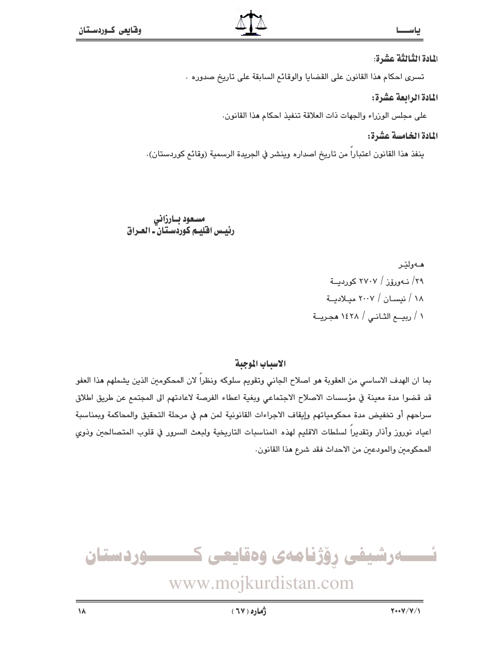#### المادة الثَّالثَّة عشرة:

تسرى احكام هذا القانون على القضايا والوقائع السابقة على تاريخ صدوره .

#### المادة الرابعة عشرة:

على مجلس الوزراء والجهات ذات العلاقة تنفيذ احكام هذا القانون.

#### المادة الخامسة عشرة:

ينفذ هذا القانون اعتبارا من تاريخ اصداره وينشر في الجريدة الرسمية (وقائع كوردستان).

مسعود بـارزاني رئيس اقليم كوردستان ـ العبراق

> هەولتر ۲۹/ نـهوروز / ۲۷۰۷ کوردبــة ١٨ / نيسان / ٢٠٠٧ ميلاديــة ١ / ربيـــع الشانــي / ١٤٢٨ هجـريــة

#### الاسياب الموجية

بما ان الهدف الاساسي من العقوبة هو اصلاح الجاني وتقويم سلوكه ونظرا لان المحكومين الذين يشملهم هذا العفو قد قضوا مدة معينة في مؤسسات الاصلاح الاجتماعي وبغية اعطاء الفرصة لاعادتهم الى المجتمع عن طريق اطلاق سراحهم أو تخفيض مدة محكومياتهم وإيقاف الاجراءات القانونية لمن هم في مرحلة التحقيق والمحاكمة وبمناسبة اعياد نوروز وأذار وتقديراً لسلطات الاقليم لهذه المناسبات التاريخية ولبعث السرور في قلوب المتصالحين وذوي المحكومين والمودعين من الاحداث فقد شرع هذا القانون.



# www.mojkurdistan.com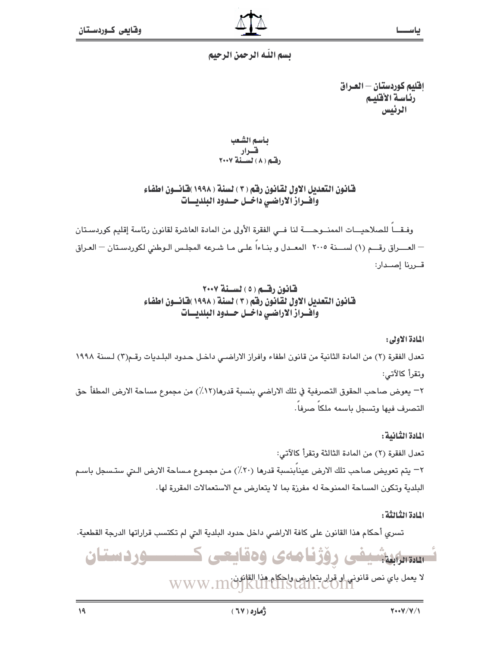يسم اللَّه الرحمن الرحيم

إفليم كوردستان – العـراق رئاسة الأقليم الرئيس

بأسم الشعب ه<br>رفقه ( ۸ ) نسبتة ۲۰۰۷

قانون التعديل الاول لقانون رقم ( ٣ ) لسنة ( ١٩٩٨)قانسون اطفاء وافسراز الاراضى داخسل حسدود البلديسات

وفيقـــاً للصلاحيـــات الممنــوحــــة لنا فـــى الفقرة الأولى من المادة العاشرة لقانون رئاسة إقليم كوردسـتان — العـــراق رقـــم (١) لســـنة ٢٠٠٥ المعــدل و بنـاءا علـى مـا شـرعه المجلـس الـوطني لكوردسـتان — العـراق قررنا إصدار:

> قانون رقسم (٥) لسنة ٢٠٠٧ قـّانون التعديل الأول لقـانون رقم ( ٣ ) لسنة ( ١٩٩٨)قـانسون اطفـاء وافسراز الاراضي داخسل حسدود البلديسات

> > المادة الأولى:

تعدل الفقرة (٢) من المادة الثانية من قانون اطفاء وافراز الاراضـى داخـل حـدود البلـديات رقـم(٣) لـسنة ١٩٩٨ وتقرأ كالآتي:

٢٦- يعوض صاحب الحقوق التصرفية في تلك الاراضي بنسبة قدرها(١٢٪) من مجموع مساحة الارض المطفأ حق التصرف فيها وتسجل باسمه ملكا صرفا.

> المادة الثنانية : تعدل الفقرة (٢) من المادة الثالثة وتقرأ كالآتي:

٢– يتم تعويض صاحب تلك الارض عيناًبنسبة قدرها (٢٠٪) من مجمـوع مـساحة الارض الـتي ستـسجل باسـم البلدية وتكون المساحة الممنوحة له مفرزة بما لا يتعارض مع الاستعمالات المقررة لها.

النادة الثنالثة :

تسري أحكام هذا القانون على كافة الاراضي داخل حدود البلدية التي لم تكتسب قراراتها الدرجة القطعية.



لا يعمل باي نص قانوني او قرار يتعارض واحكام هذا القانون.<br>WWW.MO | KUI CHSTAII. COIII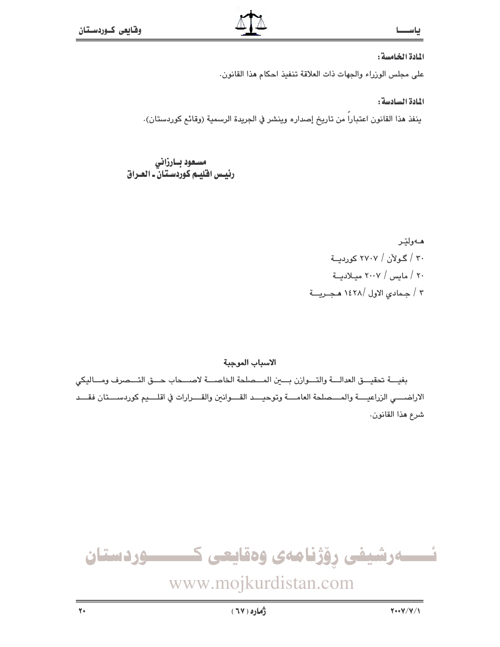#### المادة الخامسة :

على مجلس الوزراء والجهات ذات العلاقة تنفيذ احكام هذا القانون.

#### المادة السادسة:

ينفذ هذا القانون اعتباراً من تاريخ إصداره وينشر في الجريدة الرسمية (وقائع كوردستان).

# مســــود بـــارزاني<br>رئيــس افـليــم كـوردســتـان ــ الـــــراق

هەولێر ۳۰ / گولان / ۲۷۰۷ کوردت ٢٠ / مابس / ٢٠٠٧ ميلاديــة ٣ / جمادى الاول /١٤٢٨ هجـريـــة

#### الاسباب الموجبة

بغيـــة تحقيـــق العدالـــة والتـــوازن بــــين المـــصلحة الخاصـــة لاصـــحاب حـــق التـــصرف ومـــاليكي الاراضــــى الزراعيــــة والمــــصلحة العامــــة وتوحيـــد القـــوانين والقـــرارات في اقلـــيم كوردســـتان فقـــد شرع هذا القانون.

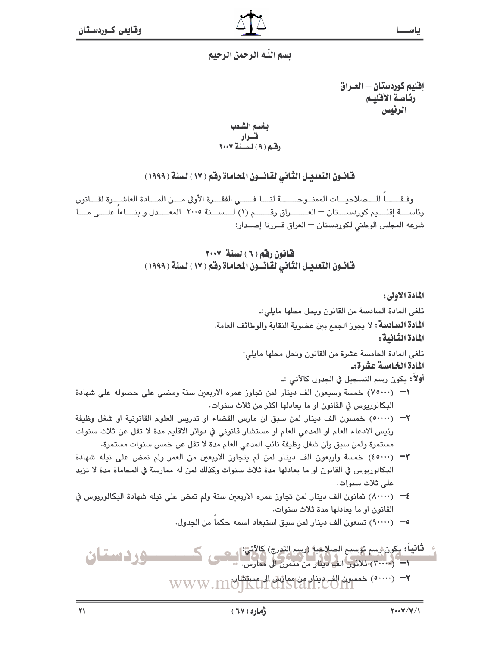#### يسم اللّه الرحمن الرحيم

إقليم كوردستان — العراق رئاسة الأقليم الرئيس

يأسم الشّعب 

قانون التعديل الثاني لقانسون المحاماة رفق (١٧) لسنة (١٩٩٩)

وفقسا للهصلاحيات الممنوحسسة لنسا فسو الفقرة الأولى مسن المسادة العاشيرة لقيانون رئاســـة إقلــــيم كوردســــتان – العـــــــراق رقـــــــم (١) لـــســـنة ٢٠٠٥ المعــــدل و بنــــاءاً علــــى مـــا شرعه المجلس الوطني لكوردستان – العراق قــررنا إصــدار:

#### قانون رقم (٢) لسنة ٢٠٠٧ قانـون التعديـل الثـاني لقـانــون المحامـاة رفم ( ١٧ ) لسنة ( ١٩٩٩ )

المادة الأولى:

تلغي المادة السادسة من القانون ويحل محلها مايلي:ـ

المادة السادسة: لا يجوز الجمع بين عضوية النقابة والوظائف العامة.

المادة الثنانية :

تلغي المادة الخامسة عشرة من القانون وتحل محلها مايلي:

المادة الخامسة عشرة: ـ

أولاً: يكون رسم التسجيل في الجدول كالآتي :ـ

- ١− (٧٥٠٠٠) خمسة وسبعون الف دينار لمن تجاوز عمره الاربعين سنة ومضى على حصوله على شهادة البكالوريوس في القانون او ما يعادلها اكثر من ثلاث سنوات.
- ٣¬ (٥٠٠٠٠) خمسون الف دينار لمن سبق ان مارس القضاء او تدريس العلوم القانونية او شغل وظيفة رئيس الادعاء العام او المدعى العام او مستشار قانوني في دوائر الاقليم مدة لا تقل عن ثلاث سنوات مستمرة ولمن سبق وان شغل وظيفة نائب المدعى العام مدة لا تقل عن خمس سنوات مستمرة.
- ٣٣ (٤٥٠٠٠) خمسة واربعون الف دينار لمن لم يتجاوز الاربعين من العمر ولم تمض على نيله شهادة البكالوريوس في القانون او ما يعادلها مدة ثلاث سنوات وكذلك لمن له ممارسة في المحاماة مدة لا تزيد علي ثلاث سنوات.
- ٤— (٨٠٠٠٠) ثمانون الف دينار لمن تجاوز عمره الاربعين سنة ولم تمض على نيله شهادة البكالوريوس في القانون او ما يعادلها مدة ثلاث سنوات.
	- ٥− (٩٠٠٠٠) تسعون الف دينار لمن سبق استبعاد اسمه حكماً من الجدول.

**ثانياً:** يكون رسم توسيع الصلاحية (رسم التدرج) كالأتين:<br>1- (٢٠٠٠٠) ثلاثون الفي دنار من متمرن الى معارس. <u>موردستان</u> 7- (٥٠٠٠٠) خمسون الف دينار من مماثل إلى مستشار (WWW.MO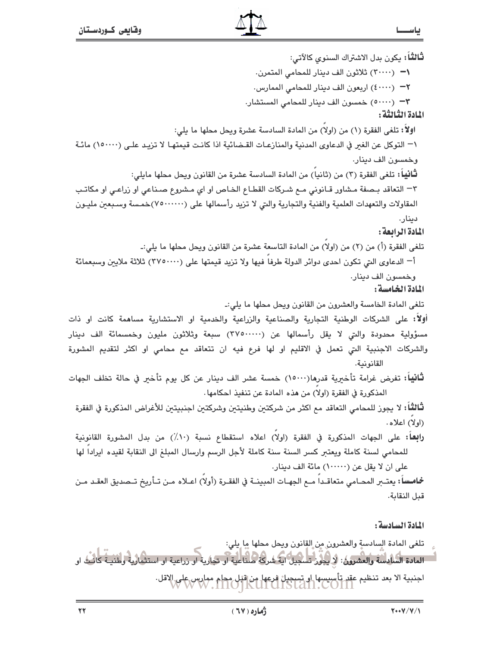لثَّالثُّنَا: يكون بدل الاشتراك السنوي كالآتي: ١— (٣٠٠٠٠) ثلاثون الف دينار للمحامي المتمرن. ٣- (٤٠٠٠٠) اربعون الف دينار للمحامي الممارس. ٣- (٥٠٠٠٠) خمسون الف دينار للمحامي المستشار. المادة الثنالثة : اولاً: تلغى الفقرة (١) من (اولا) من المادة السادسة عشرة ويحل محلها ما يلي: ١– التوكل عن الغير في الدعاوى المدنية والمنازعـات القـضائية اذا كانـت قيمتهـا لا تزيـد علـى (١٥٠٠٠٠) مائـة وخمسون الف دينار. **ثانيا:** تلغى الفقرة (٣) من (ثانيا) من المادة السادسة عشرة من القانون ويحل محلها مايلي: ٣– التعاقد بـصفة مـشاور قـانوني مـع شـركات القطـاع الخـاص او اي مـشروع صـناعي او زراعـي او مكاتـب المقاولات والتعهدات العلمية والفنية والتجارية والتي لا تزيد رأسمالها على (٧٥٠٠٠٠٠٠)خمسة وسـبعين مليـون دينار. المادة الرابعة : تلغي الفقرة (أ) من (٢) من (اولا) من المادة التاسعة عشرة من القانون ويحل محلها ما يلي:ـ أ – الدعاوي التي تكون احدى دوائر الدولة طرفا فيها ولا تزيد قيمتها على (٣٧٥٠٠٠٠) ثلاثة ملايين وسبعمائة وخمسون الف دينار. المادة الخامسة : تلغي المادة الخامسة والعشرون من القانون ويحل محلها ما يلي:-أولاً: على الشركات الوطنية التجارية والصناعية والزراعية والخدمية او الاستشارية مساهمة كانت او ذات مسؤولية محدودة والتي لا يقل رأسمالها عن (٣٧٥٠٠٠٠٠) سبعة وثلاثون مليون وخمسمائة الف دينار والشركات الاجنبية التي تعمل في الاقليم او لها فرع فيه ان تتعاقد مع محامي او اكثر لتقديم المشورة القانونية. **ثَانياً:** تفرض غرامة تأخيرية قدرها(١٥٠٠٠) خمسة عشر الف دينار عن كل يوم تأخير في حالة تخلف الجهات المذكورة في الفقرة (اولا) من هذه المادة عن تنفيذ احكامها. **ثالثاً**: لا يجوز للمحامى التعاقد مع اكثر من شركتي*ن* وطنيتي*ن* وشركتي*ن* اجنبيتين للأغراض المذكورة في الفقرة (اولا) اعلاه. **رابعا:** على الجهات المذكورة في الفقرة (اولا) اعلاه استقطاع نسبة (١٠٪) من بدل المشورة القانونية للمحامي لسنة كاملة ويعتبر كسر السنة سنة كاملة لأجل الرسم وارسال المبلغ الى النقابة لقيده ايرادا لها على ان لا يقل عن (١٠٠٠٠٠) مائة الف دينار. <del>ثحامسا</del>: يعتـبر المحـامي متعاقـدا مـع الجهـات المبينــة في الفقـرة (أولا) اعـلاه مـن تــأريخ تــصديق العقـد مـن قبل النقابة. المادة السادسة : تلغي المادة السادسة والعشرون من القانون ويحل محلها ما يلي:

المادة السابسة والعشرون: لا يجوز تسجيل أيَّة شركة صناعية أو تجارية أو زراعية أو استثمارية وطنبة كانت أو اجنبية الا بعد تنظيم عقد تأسيسها او تسجيل فرعها من قبل محام ممارس على الاقل.<br>WWW.IIIO|KUI LISTAII.COIII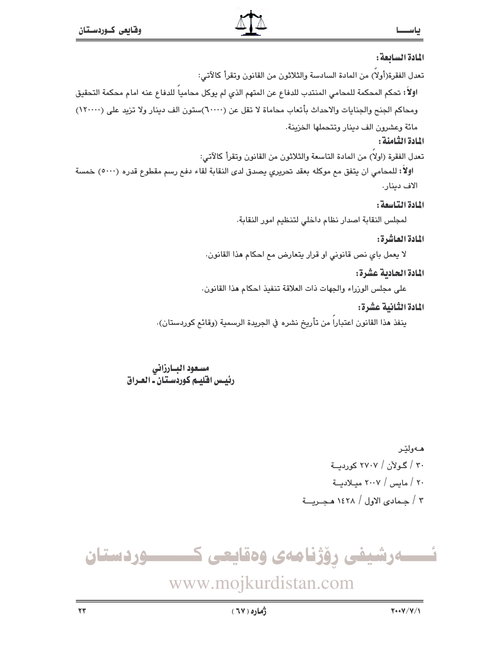# المادة السائعة :

تعدل الفقرة(أولا) من المادة السادسة والثلاثون من القانون وتقرأ كالآتي:

اولاً: تحكم المحكمة للمحامي المنتدب للدفاع عن المتهم الذي لم يوكل محامياً للدفاع عنه امام محكمة التحقيق ومحاكم الجنح والجنايات والاحداث بأتعاب محاماة لا تقل عن (٦٠٠٠٠)ستون الف دينار ولا تزيد على (١٢٠٠٠٠) مائة وعشرون الف دينار وتتحملها الخزينة.

# المادة الثامنة :

تعدل الفقرة (اولاً) من المادة التاسعة والثلاثون من القانون وتقرأ كالآتي:

اولاً: للمحامي ان يتفق مم موكله بعقد تحريري يصدق لدى النقابة لقاء دفع رسم مقطوع قدره (٥٠٠٠) خمسة الاف دينار.

# المادة التاسعة:

لمجلس النقابة اصدار نظام داخلي لتنظيم امور النقابة.

# المادة العاشرة:

لا يعمل باي نص قانوني او قرار يتعارض مع احكام هذا القانون.

# المادة الحادية عشرة:

على مجلس الوزراء والجهات ذات العلاقة تنفيذ احكام هذا القانون.

# المادة الثانية عشرة:

ينفذ هذا القانون اعتبارا من تأريخ نشره في الجريدة الرسمية (وقائع كوردستان).

مسعود البارزانى رئيس افليم كوردستان ـ العراق

> هەولێر ۳۰ / گولان / ۲۷۰۷ کوردت ٢٠ / مايس / ٢٠٠٧ ميلاديــة ٣ / جـمادي الاول / ١٤٢٨ هـجـريـــة

ئــــــهرشیفی رۆژنامەی وەقايعی ک ــــوردستان

# www.mojkurdistan.com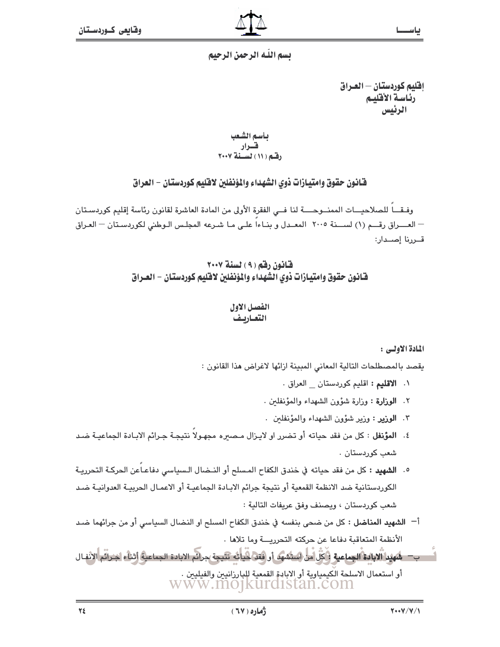#### يسم اللّه الرحمن الرحيم

إفليم كوردستان – العراق رئاسة الأقليم الرئيس

بأسم الشعب قسرار<br>رقم ( ۱۱ ) لسنة ۲۰۰۷

#### فـَّانـُون حقوق وامتيـازات ذوى الشهداء والمؤنـفلين لافـليم كـوردستـان – الـعراق

وفيقا للصلاحيـات الممنــوحـــة لنا فــى الفقرة الأولى من المادة العاشرة لقانون رئاسة إقليم كوردسـتان – العـــراق رقـــم (١) لســـنة ٢٠٠٥ المعــدل و بنـاءا علـى مـا شـرعه المجلـس الـوطني لكوردسـتان – العـراق قدرنا إصدار:

#### قانون رقم ( ۹ ) لسنة ۲۰۰۷ قـانـون حقوق وامتيـازات ذوى الشهداء والمؤنفلين لاقـليم كـوردستـان – العــراق

#### الفصل الأول التعاريف

#### المادة الأولى :

يقصد بالمصطلحات التالية المعاني المبينة ازائها لاغراض هذا القانون :

- ٠. ا**لاقليم :** اقليم كوردستان العراق .
- ٢. الوزارة : وزارة شؤون الشهداء والمؤنفلين .
- ٣. الوزير : وزير شؤون الشهداء والمؤنفلين .
- ٤. المؤنفل : كل من فقد حياته أو تضرر او لايـزال مـصبره مجهـولاً نتيجـة جـرائم الابـادة الجماعيـة ضـد شعب كوردستان .
- ٥. ا**لشهيد** : كل من فقد حياته في خندق الكفاح المسلح أو النـضال الـسياسي دفاعـاعن الحركـة التحرريـة الكوردستانية ضد الانظمة القمعية أو نتيجة جرائم الابـادة الجماعيـة أو الاعمـال الحربيـة العدوانيـة ضـد شعب كوردستان ، ويصنف وفق عريفات التالية :
- أ— ال**شهيد المناضل** : كل من ضحى بنفسه في خندق الكفاح المسلح او النضال السياسي أو من جرائهما ضد الأنظمة المتعاقبة دفاعا عن حركته التحرريـــة وما تلاها .

— ب— شهيداً الابادة الجماعية ﴿ كُلُّ أمل استشهد أو فقد كياتُه تنتيجة بجرائم الابادة الجماعية أثناء اخترائم الأنفـال أو استعمال الاسلحة الكيمياوية أو الابادة القمعية للبارزانيين والفيليين . www.mojkurdistan.com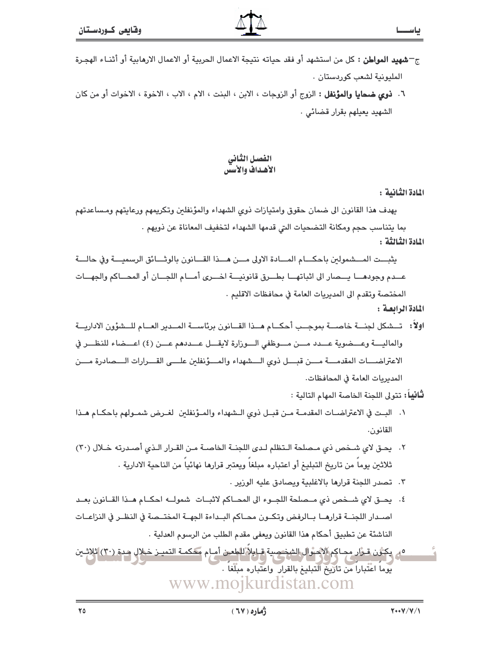- ج<del>- شهيد المواطن :</del> كل من استشهد أو فقد حياته نتيجة الاعمال الحربية أو الاعمال الارهابية أو أثنـاء الهجـرة المليونية لشعب كوردستان .
- ٦. فوى ضعايا والمؤنفل : الزوج أو الزوجات ، الابن ، البنت ، الام ، الاب ، الاخوة ، الاخوات أو من كان الشهيد يعيلهم بقرار قضائى .

#### الفصل الثانى الأهداف والأسس

المادة الثانية :

يهدف هذا القانون الى ضمان حقوق وامتيازات ذوى الشهداء والمؤنفلين وتكريمهم ورعايتهم ومساعدتهم بما يتناسب حجم ومكانة التضحيات التي قدمها الشهداء لتخفيف المعاناة عن ذويهم . المادة الثنالثة :

يثبــت المـــشمولين باحكـــام المـــادة الاولى مـــن هـــذا القـــانون بالوثـــائق الرسميـــة وفي حالـــة عــدم وجودهـــا يـــمـار الى اثباتهــا بطـــرق قانونيـــة اخـــرى أمـــام اللجــان أو المحـــاكم والجهــات المختصة وتقدم الى المديريات العامة في محافظات الاقليم .

- المادة الرابعة :
- اولاً: تسشكل لجنسة خاصسة بموجسب أحكسام هسذا القسانون برئاسسة المسدير العسام للسشؤون الاداريسة والماليسة وعسضوية عسدد مسن مسوظفى السوزارة لايقسل عسددهم عسن (٤) اعسضاء للنظس في الاعتراضــات المقدمـــة مـــن قبـــل ذوى الـــشهداء والمـــؤنفلين علـــى القـــرارات الـــمىادرة مـــن المدبريات العامة في المحافظات.

**ثانياً:** تتولى اللجنة الخاصة المهام التالية :

- ٠١. البـت في الاعتراضــات المقدمــة مــن قبــل ذوي الــشهداء والمــؤنفلين لغــرض شمــولهم باحكــام هــذا القانون.
- ٢. يحق لاى شـخص ذي مـصلحة الـتظلم لـدى اللجنــة الخاصــة مـن القـرار الـذي أصـدرته خـلال (٣٠) ثلاثين يوما من تاريخ التبليغ أو اعتباره مبلغا ويعتبر قرارها نهائيا من الناحية الادارية .
	- ٢. تصدر اللجنة قرارها بالاغلبية ويصادق عليه الوزير .
- ٤. يحــق لاى شــخص ذى مــصلحة اللجــوء الى المحــاكم لاثبــات شمولــه احكــام هــذا القــانون بعــد اصـدار اللجنــة قرارهــا بــالرفض وتكــون محــاكم البــداءة الجهــة المختــصة في النظــر في النزاعــات الناشئة عن تطبيق أحكام هذا القانون ويعفى مقدم الطلب من الرسوم العدلية .
- 0. يكثون قـرار محـاكم الأحـوال الشخصية قـابلا للطعـن أمـام مككمـة التميـز خـلال مـدة (٣٠) ثلاثـين يوماً اعْتَباراً من تارَيخ التَّبليغ بالقرار ۖ واعتباره مبلَّغاً . www.mojkurdistan.com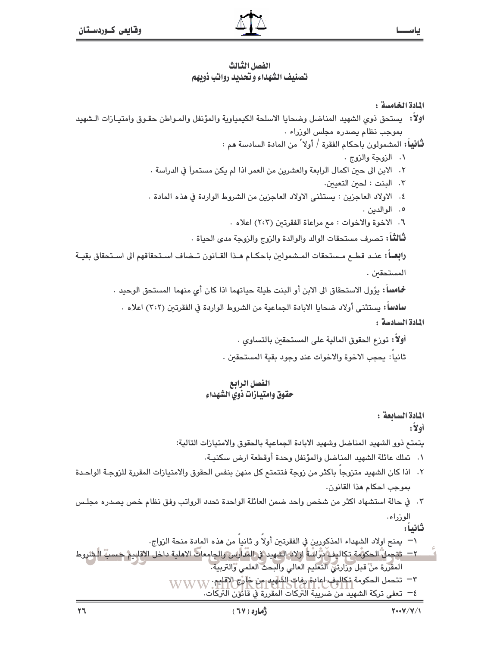#### الفصل الثالث تصنيف الشهداء وتحديد رواتب ذويهم

#### المادة الخامسة :

اولاً: يستحق ذوى الشهيد المناضل وضحايا الاسلحة الكيمياوية والمؤنفل والمـواطن حقـوق وامتيـازات الـشهيد بموجب نظام بصدره مجلس الوزراء .

**تَّانياً:** المشمولون باحكام الفقرة / أولا ً من المادة السادسة هم :

- ٠. الزوجة والزوج .
- ٢. الابن الى حين اكمال الرابعة والعشرين من العمر اذا لم يكن مستمراً في الدراسة .
	- ٢. البنت : لحين التعيين.
- ٤. الاولاد العاجزين : يستثنى الاولاد العاجزين من الشروط الواردة في هذه المادة .
	- ٥. الوالدين .
	- ٦. الاخوة والاخوات : مم مراعاة الفقرتين (٢،٣) اعلاه .

ثَـالثَّـاً : تـصرف مستحقات الوالد والوالدة والزوج والزوجة مدى الحياة .

رابعــاً: عنـد قطـم مـستحقات المـشمولين باحكـام هـذا القـانون تــضاف اسـتحقاقهم الى اسـتحقاق بقيــة المستحقين .

**خـامساً:** يؤول الاستحقاق الى الابن أو البنت طيلة حياتهما اذا كان أي منهما المستحق الوحيد .

سادساً: يستثنى أولاد ضحايا الابادة الجماعية من الشروط الواردة في الفقرتين (٣،٢) اعلاه .

المادة السادسة :

أولاً: توزع الحقوق المالية على المستحقين بالتساوى . ثانيا: يحجب الأخوة والأخوات عند وجود بقية المستحقين .

#### القصل الرابع حقوق وامتيازات ذوى الشهداء

المادة السابعة : أولأ:

يتمتع ذوو الشهيد المناضل وشهيد الابادة الجماعية بالحقوق والامتيازات التالية:

- ١. تملك عائلة الشهيد المناضل والمؤنفل وحدة أوقطعة ارض سكنيـة.
- ٢. اذا كان الشهيد متزوجا باكثر من زوجة فتتمتم كل منهن بنفس الحقوق والامتيازات المقررة للزوجـة الواحـدة بموجب احكام هذا القانون.
- ٢. في حالة استشهاد اكثر من شخص واحد ضمن العائلة الواحدة تحدد الرواتب وفق نظام خص يصدره مجلـس الوزراء.

ثانياً: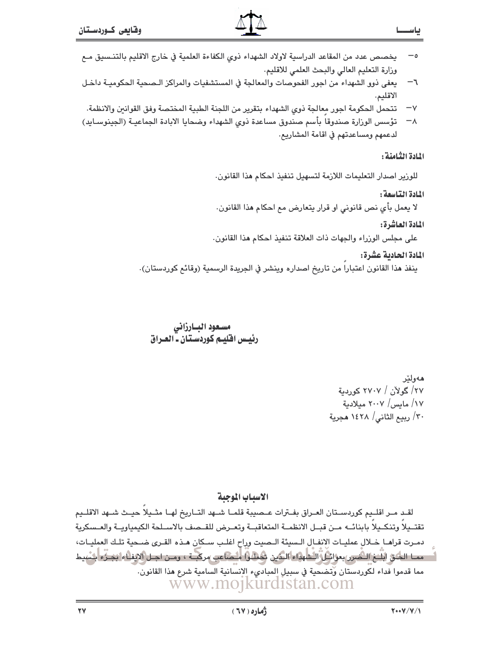

- يخصص عدد من المقاعد الدراسية لاولاد الشهداء ذوى الكفاءة العلمية في خارج الاقليم بالتنـسيق مـم  $-\circ$ وزارة التعليم العالى والبحث العلمى للاقليم.
- يعفي ذوو الشهداء من اجور الفحوصات والمعالجة في المستشفيات والمراكز الـصحية الحكوميـة داخـل  $r-$ الاقليم.
- $-\vee$ تتحمل الحكومة اجور معالجة ذوى الشهداء بتقرير من اللجنة الطبية المختصة وفق القوانين والانظمة.
- تؤسس الوزارة صندوقا بأسم صندوق مساعدة ذوي الشهداء وضحايا الابادة الجماعيـة (الجينوسـايد)  $-\lambda$ لدعمهم ومساعدتهم في اقامة المشاريع.

المادة الثنامنة :

للورير اصدار التعليمات اللازمة لتسهيل تنفيذ احكام هذا القانون.

المادة التياسعة:

لا يعمل بأي نص قانوني او قرار يتعارض مع احكام هذا القانون.

المادة العاشرة:

على مجلس الوزراء والجهات ذات العلاقة تنفيذ احكام هذا القانون.

المادة الحادية عشرة:

ينفذ هذا القانون اعتبارا من تاريخ اصداره وينشر في الجريدة الرسمية (وقائع كوردستان).

مسعود البـارزانى رئيس اقليم كوردستان ـ العـراق

> هەولٽر ۲۷/ گولان / ۲۷۰۷ کوردیة ١٧/ مايس/ ٢٠٠٧ ميلادية ٣٠/ ربيع الثاني/ ١٤٢٨ هجرية

الاسباب الموجبة

لقـد مـر اقلـيم كوردسـتان العـراق بفـترات عـصيبة قلمـا شـهد التـاريخ لهـا مثـيلاً حيـث شـهد الاقلـيم تقتـيلاً وتنكـيلاً بابنائــه مـن قبــل الانظمــة المتعاقبــة وتعـرض للقــصف بالاســلحة الكيمياويــة والعـسكرية دمـرت قراهـا خـلال عمليـات الانفـال الـسيئة الـصيت وراح اغلـب سـكان هـذه القـرى ضـحية تلـك العمليـات، ا مع الحكن ابْلَنغ الـثمين بعوائل الشهداء الكين شِمَلَها المصلحب مركبة ، ومن اجـل الإيفاء بجـزّء فسُيط مما قدموا فداء لكوردستان وّتضحية في سبيلِ المباديء الإنسانية السامية شرع هذا القانون. www.mojkurdistan.com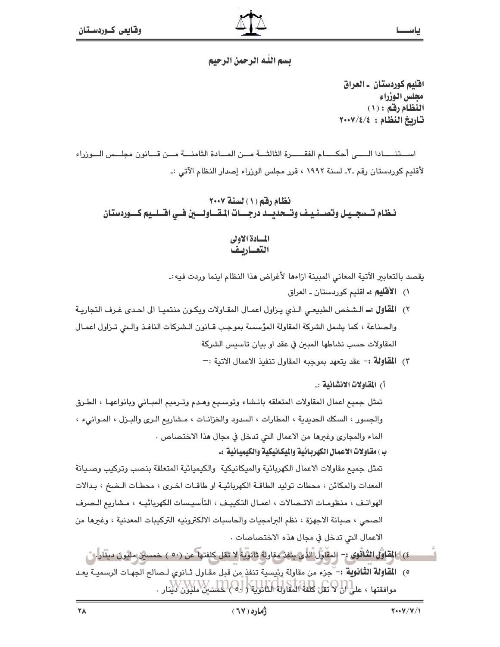#### يسم الليه الرحمن الرحيم

اقليم كوردستان ــ العراق مجلس الوزراء النظام رقم : (١) تاريخ النظام : ١٠٠٧/٤/٤

اســتنــــادا الـــــى أحكــــام الفقـــــرة الثالثـــة مـــن المـــادة الثامنـــة مـــن قـــانون مجلــس الــوزراء لأقليم كوردستان رقم ـ٣ـ لسنة ١٩٩٢ ، قرر مجلس الوزراء إصدار النظام الآتي :ـ

نظام رفق (١) لسنة ٢٠٠٧ نظام تسسجـيـل وتصــنـيـف وتــحديــد درجـــات المقــاولـــين فــي اقــلــيم كـــوردستان

#### المسادة الأولى التعساريف

يقصد بالتعابير الآتية المعاني المبينة ازاءها لأغراض هذا النظام اينما وردت فيه:۔

- ۱) **الأقليم :ـ** اقليم كوردستان ـ العراق
- ٢) ا**لمقاول :ــ** الـشخص الطبيعـي الـذي يـزاول اعمـال المقـاولات ويكـون منتميـا الى احـدي غـرف التجاريـة والصناعة ، كما يشمل الشركة المقاولة المؤسسة بموجب قـانون الـشركات النافـذ والـتى تـزاول اعمـال المقاولات حسب نشاطها المبين في عقد او بيان تاسيس الشركة
	- ٣) المقاولة :- عقد بتعهد بموجبه المقاول تنفيذ الاعمال الاتية :-

أ) المقاولات الانشائية :\_

تمثل جميع اعمال المقاولات المتعلقه بانـشاء وتوسـيـع وهـدم وتـرميم المبـاني وبانواعهـا ، الطـرق والجسور ، السكك الحديدية ، المطارات ، السدود والخزانـات ، مـشاريـع الـرى والبـزل ، المـوانىء ، الماء والمجاري وغيرها من الاعمال التي تدخل في مجال هذا الاختصاص . ب ) مقاولات الاعمال الكهربائية والمكانيكية والكيميائية :\_

تمثل جميع مقاولات الاعمال الكهربائية والميكانيكية والكيميائية المتعلقة بنصب وتركيب وصـيانة المعدات والمكائن ، محطات توليد الطاقــة الكهربائيــة او طاقــات اخـرى ، محطـات الـضخ ، بـدالات الهواتـف ، منظومـات الاتـصالات ، اعمـال التكييـف ، التأسيـسات الكهربائيـه ، مـشاريم الـصرف الصحى ، صيانة الاجهزة ، نظم البرامجيات والحاسبات الالكترونيه التركيبات المعدنية ، وغيرها من الاعمال التي تدخل في مجال هذه الاختصاصات .

٤) | إعقاؤل الثَّاقوي : – المقاول الذي يئفز مقاولة فانويًّا لا تقل كلفتها عن (٥٠ ) خمسين مليون دينَّار يُ

٥) ا**لمقاولة الثانوية :**- `جزء من مقاولة رئيسية تنفذٍ من قبل مقـاول ثـانوي لـصالح الجهـات الرسميـة يعـد موافقتها ، على أن لا تقل كلفة المقاولة الثانوية ( و ) لحمسَين مليون لاينار .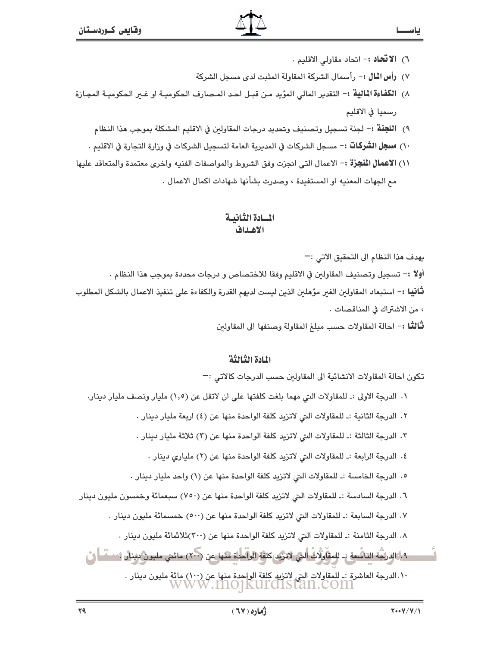- ٦) الاتحاد :- اتحاد مقاولي الاقليم .
- ٧) رأس المال :- رأسمال الشركة المقاولة المثبت لدى مسجل الشركة
- ٨) ا**لكفاءة المالية :** التقدير المالي المؤيد مـن قبـل احـد المـصارف الحكوميـة او غـير الحكوميـة المجـازة رسميا في الاقليم
	- ٩) ا**للجنة** :- لجنة تسجيل وتصنيف وتحديد درجات المقاولين في الاقليم المشكلة بموجب هذا النظام
	- ١٠) **مسجل الشركـات :** مسجل الشركات في المديرية العامة لتسجيل الشركات في وزارة التجارة في الاقليم .
- ١١) **الأعمال المنجزة :** الاعمال التي انجزت وفق الشروط والمواصفات الفنيه واخرى معتمدة والمتعاقد عليها مع الجهات المعنيه او المستفيدة ، وصدرت بشأنها شهادات اكمال الاعمال .

#### المسادة الثنانسة الاهداف

يهدف هذا النظام الى التحقيق الاتي :—

أولا :– تسجيل وتصنيف المقاولين في الاقليم وفقا للاختصاص و درجات محددة بموجب هذا النظام .

**ثَّانيا :**- استبعاد المقاولين الغير مؤهلين الذين ليست لديهم القدرة والكفاءة على تنفيذ الاعمال بالشكل المطلوب ، من الاشتراك في المناقصات .

لثَّالثُّا :- احالة المقاولات حسب مبلغ المقاولة وصنفها الى المقاولين

#### المادة الثنالثة

تكون احالة المقاولات الانشائية الى المقاولين حسب الدرجات كالاتي :—

- ١. الدرجة الاولى :ـ للمقاولات التي مهما بلغت كلفتها على ان لاتقل عن (١,٥) مليار ونصف مليار دينار.
	- ٢. الدرجة الثانية : للمقاولات التي لاتزيد كلفة الواحدة منها عن (٤) اربعة مليار دينار .
	- ٢. الدرجة الثالثة :ـ للمقاولات التي لاتزيد كلفة الواحدة منها عن (٣) ثلاثة مليار دينار .
		- ٤. الدرجة الرابعة : للمقاولات التي لاتزيد كلفة الواحدة منها عن (٢) ملياري دينار .
	- ٥. الدرجة الخامسة :ـ للمقاولات التي لاتزيد كلفة الواحدة منها عن (١) واحد مليار دينار .
- ٦. الدرجة السادسة :ـ للمقاولات التي لاتزيد كلفة الواحدة منها عن (٧٥٠) سبعمائة وخمسون مليون دينار
	- ٧. الدرجة السابعة :ـ للمقاولات التي لاتزيد كلفة الواحدة منها عن (٥٠٠) خمسمائة مليون دينار .
		- ٠٨. الدرجة الثامنة :ـ للمقاولات التي لاتزيد كلفة الواحدة منها عن (٣٠٠)ثلاثمائة مليون دينار .

. ٩-إكالهِ ربَّجة التاشُّعة :- للمقاولَاتُ التي لاترَيد كلفة الواتُّحاة منها عن (٢٠٠) مائتي مليونٍ بهنان استسلَّم أن

٠١ الدرجة العاشرة :ـ للمقاولات التي لاتزيد كلفة الواحدة منها عن (١٠٠) مائة مليون دينار .<br>WWW .INO]KUIOISTAN .COM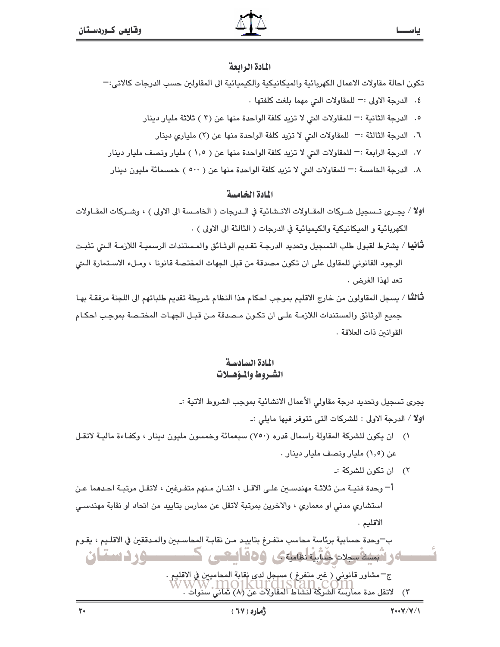#### المادة الرابعة

تكون احالة مقاولات الاعمال الكهربائية والميكانيكية والكيميائية الى المقاولين حسب الدرجات كالاتي∶−

- ٤. الدرجة الاولى : = للمقاولات التي مهما بلغت كلفتها .
- 0. الدرجة الثانية :— للمقاولات التي لا تزيد كلفة الواحدة منها عن (٣ ) ثلاثة مليار دينار
	- ٦. الدرجة الثالثة :— للمقاولات التي لا تزيد كلفة الواحدة منها عن (٢) ملياري دينار
- ٧. الدرجة الرابعة :— للمقاولات التي لا تزيد كلفة الواحدة منها عن ( ١,٥ ) مليار ونصف مليار دينار
- ٨. الدرجة الخامسة : = للمقاولات التي لا تزيد كلفة الواحدة منها عن ( ٥٠٠ ) خمسمائة مليون دينار

#### المادة الخامسة

- اولاً / يجـري تـسجيل شـركات المقـاولات الانــشائية في الــدرجات ( الخامـسة الى الاولى ) ، وشـركات المقـاولات الكهربائية و الميكانيكية والكيميائية في الدرجات ( الثالثة الى الاولى ) .
- **ثانيا** / يشترط لقبول طلب التسجيل وتحديد الدرجـة تقـديم الوثـائق والمـستندات الرسميـة اللازمـة الـتي تثبـت الوجود القانوني للمقاول على ان تكون مصدقة من قبل الجهات المختصة قانونا ، ومـلء الاسـتمارة الـتي تعد لهذا الغرض .
- **ثالثًا** / يسجل المقاولون من خارج الاقليم بموجب احكام هذا النظام شريطة تقديم طلباتهم الى اللجنة مرفقـة بهـا جميع الوثائق والمستندات اللازمـة علـي ان تكـون مـصدقة مـن قبـل الجهـات المختـصة بموجب احكـام القوانين ذات العلاقة .

#### المادة السادسة الشروط والمؤهبلات

يجري تسجيل وتحديد درجة مقاولي الأعمال الانشائية بموجب الشروط الاتية :ـ

اولا / الدرجة الاولى : للشركات التي تتوفر فيها مايلي :ـ

- ١) ان يكون للشركة المقاولة راسمال قدره (٧٥٠) سبعمائة وخمسون مليون دينار ، وكفـاءة ماليــة لاتقـل عن (١,٥) مليار ونصف مليار دينار .
	- ٢) ان تكون للشركة :ـ

أ— وحدة فنيـة مـن ثلاثـة مهندسـين علـى الاقـل ، اثنـان مـنهم متفـرغين ، لاتقـل مرتبـة احـدهما عـن استشاري مدني او معماري ، والاخرين بمرتبة لاتقل عن ممارس بتاييد من اتحاد او نقابة مهندسـي الاقليم .

بِ ۖوحدة حسابية برئاسة محاسب متفـرغ بتابيـد مـن نقابـة المحاسـبـن والمـدققـن في الاقلـيم ، يقـوم ەرتىسەسەدگتىيەتىسى 100مىسى ك ـــــــــــه د د سيتيان ج – مشاور قانوني ( غير متفرغ ) مسجل لدى نقابة المحاميين في الاقليم . ٣) لاتقل مدة ممارسة الشركة لنشاط المقاولات عن (٨) شاني سنوات .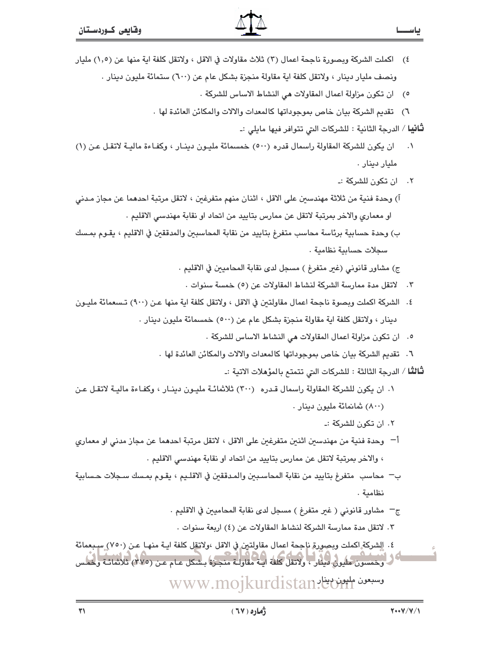- ٤) اكملت الشركة وبصورة ناجحة اعمال (٣) ثلاث مقاولات في الاقل ، ولاتقل كلفة اية منها عن (١,٥) مليار ونصف مليار دينار ، ولاتقل كلفة اية مقاولة منجزة بشكل عام عن (٦٠٠) ستمائة مليون دينار .
	- 0) ان تكون مزاولة اعمال المقاولات هي النشاط الاساس للشركة .
	- ٦) تقديم الشركة بيان خاص بموجوداتها كالمعدات والالات والمكائن العائدة لها .
		- ثَـافيا / الدرجة الثانية : للشركات التي تتوافر فيها مايلي :ـ
- ان يكون للشركة المقاولة راسمال قدره (٥٠٠) خمسمائة مليـون دينـار ، وكفـاءة ماليـة لاتقـل عـن (١)  $\cdot$ . مليار دېنار .
	- ٢. ان تكون للشركة :ـ
- اً) وحدة فنية من ثلاثة مهندسين على الاقل ، اثنان منهم متفرغين ، لاتقل مرتبة احدهما عن مجاز مـدني او معماري والاخر بمرتبة لاتقل عن ممارس بتاييد من اتحاد او نقابة مهندسي الاقليم .
- ب) وحدة حسابية برئاسة محاسب متفرغ بتاييد من نقابة المحاسبين والمدققين في الاقليم ، يقـوم بمـسك سحلات حساسة نظامية .

ج) مشاور قانوني (غير متفرغ ) مسجل لدى نقابة المحاميين في الاقليم .

- ٣. لاتقل مدة ممارسة الشركة لنشاط المقاولات عن (٥) خمسة سنوات .
- ٤. الشركة اكملت وبصوة ناجحة اعمال مقاولتين في الاقل ، ولاتقل كلفة اية منها عـن (٩٠٠) تـسعمائة مليـون دينار ، ولاتقل كلفة اية مقاولة منجزة بشكل عام عن (٥٠٠) خمسمائة مليون دينار .
	- 0. ان تكون مزاولة اعمال المقاولات هي النشاط الاساس للشركة .
	- ٦. تقديم الشركة بيان خاص بموجوداتها كالمعدات والالات والمكائن العائدة لها .

ثَـالتْـا / الدرجة الثالثة : للشركات التي تتمتم بالمؤملات الاتية :ـ

- ١. ان يكون للشركة المقاولة راسمال قـدره (٣٠٠) ثلاثمائـة مليـون دينـار ، وكفـاءة ماليـة لاتقـل عـن (۸۰۰) شانمائة مليون دينار
	- ٢. ان تكون للشركة :ـ
- أ— وحدة فنية من مهندسين اثنين متفرغين على الاقل ، لاتقل مرتبة احدهما عن مجاز مدني او معماري ، والآخر بمرتبة لاتقل عن ممارس بتاييد من اتحاد او نقابة مهندسي الاقليم .
- بِ محاسب ِ متفرغ بتاييد من نقابة المحاسبين والمـدققين في الاقلـيم ، يقـوم بمـسك سـجلات حـسابية نظامية .
	- ج مشاور قانوني ( غير متفرغ ) مسجل لدى نقابة المحاميين في الاقليم .
		- ٢. لاتقل مدة ممارسة الشركة لنشاط المقاولات عن (٤) اربعة سنوات .
- ٤. الشركة اكملت وبصورة بإجحة اعمال مقاولتين في الاقل ،ولاتقل كلفة ايـة منهـا عـن (٧٥٠) سبعمائة ے کی اسٹریکس ملیول ایٹار ، ولاتقل کلفة ایا مقاولة منجزة بشکل عـام عـن (٢٧٥) ثلاثمائـة وخمس

www.mojkurdistan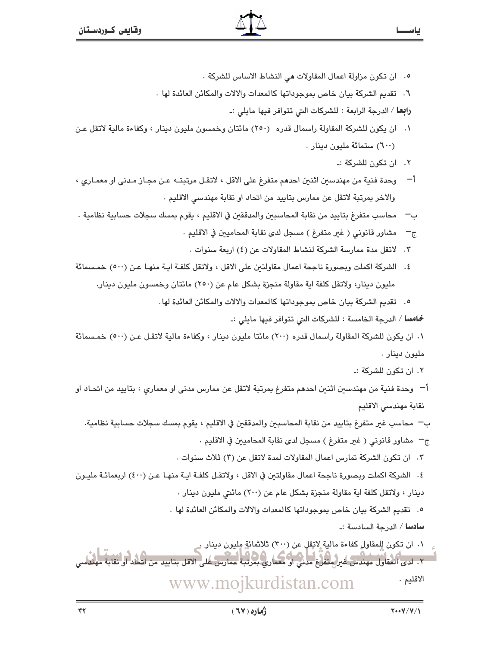- 0. ان تكون مزاولة اعمال المقاولات هي النشاط الاساس للشركة .
- ٦. تقديم الشركة بيان خاص بموجوداتها كالمعدات والالات والمكائن العائدة لها .

**رابعا** / الدرجة الرابعة : للشركات التي تتوافر فيها مايلي :ـ

- ٠١ ان يكون للشركة المقاولة راسمال قدره (٢٥٠) مائتان وخمسون مليون دينار ، وكفاءة مالية لاتقل عن (٦٠٠) ستمائة مليون دينار .
	- ٢. ان تكون للشركة :ـ
- أ— وحدة فنية من مهندسين اثنين احدهم متفرغ على الاقل ، لاتقل مرتبتـه عـن مجـاز مـدنى او معمـاري ، والاخر بمرتبة لاتقل عن ممارس بتاييد من اتحاد او نقابة مهندسي الاقليم .
- محاسب متفرغ بتاييد من نقابة المحاسبين والمدققين في الاقليم ، يقوم بمسك سجلات حسابية نظامية .
	- ج— مشاور قانوني ( غير متفرغ ) مسجل لدى نقابة المحاميين في الاقليم .
		- لاتقل مدة ممارسة الشركة لنشاط المقاولات عن (٤) اربعة سنوات .  $\cdot$ ٣
- ٤. الشركة اكملت وبصورة ناجحة اعمال مقاولتين على الاقل ، ولاتقل كلفـة ايـة منهـا عـن (٥٠٠) خمـسمائة مليون دينار، ولاتقل كلفة اية مقاولة منجزة بشكل عام عن (٢٥٠) مائتان وخمسون مليون دينار.
	- ٥. تقديم الشركة بيان خاص بموجوداتها كالمعدات والالات والمكائن العائدة لها.

خامسا / الدرجة الخامسة : للشركات التي تتوافر فيها مايلي :ـ

١. ان يكون للشركة المقاولة راسمال قدره (٢٠٠) مائتا مليون دينار ، وكفاءة مالية لاتقـل عـن (٥٠٠) خمـسمائة مليون دينار .

٢. ان تكون للشركة :ـ

- أ— وحدة فنية من مهندسين اثنين احدهم متفرغ بمرتبة لاتقل عن ممارس مدنى او معمارى ، بتاييد من اتحـاد او نقابة مهندسي الاقليم
	- بِ محاسب غير متفرغ بتاييد من نقابة المحاسبين والمدققين في الاقليم ، يقوم بمسك سجلات حسابية نظامية.
		- ج مشاور قانوني ( غير متفرغ ) مسجل لدى نقابة المحاميين في الاقليم .
		- ٣. ان تكون الشركة تمارس اعمال المقاولات لمدة لاتقل عن (٣) ثلاث سنوات .
- ٤. الشركة اكملت وبصورة ناجحة اعمال مقاولتين في الاقل ، ولاتقـل كلفـة ايـة منهـا عـن (٤٠٠) اربعمائـة مليـون دينار ، ولاتقل كلفة اية مقاولة منجزة بشكل عام عن (٢٠٠) مائتي مليون دينار .
	- ٥. تقديم الشركة بيان خاص بموجوداتها كالمعدات والالات والمكائن العائدة لها .

**سادسا** / الدرجة السادسة :ـ

١. ان تكون لِلمقاولِ كفاءة ماليةٍ لاتقل عن (٣٠٠) ثلاثمائةٍ مليون دينار . ۔<br>- ٢. لدى المقاول مهندس غير متفرغ مدنى او معمارى بمرتبة ممارس على الاقل بتاييد من اتحاد او نقابة م www.mojkurdistan.com الاقليم .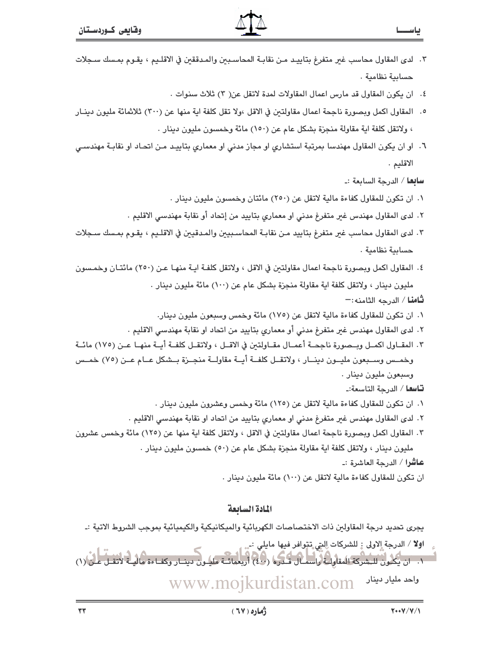- ٢. لدى المقاول محاسب غير متفرغ بتاييـد مـن نقابـة المحاسـبين والمـدققين في الاقلـيم ، يقـوم بمـسك سـجلات حسابية نظامية .
	- ٤. ان يكون المقاول قد مارس اعمال المقاولات لمدة لاتقل عن( ٣) ثلاث سنوات .
- ٥. المقاول اكمل وبصورة ناجحة اعمال مقاولتين في الاقل ،ولا تقل كلفة اية منها عن (٣٠٠) ثلاثمائة مليون دينـار ، ولاتقل كلفة اية مقاولة منجزة بشكل عام عن (١٥٠) مائة وخمسون مليون دينار .
- ٦. او ان يكون المقاول مهندسا بمرتبة استشاري او مجاز مدني او معماري بتاييـد مـن اتحـاد او نقابـة مهندسـي الاقليم .

**سابعا** ∕ الدرجة السابعة :ـ

- ٠. ان تكون للمقاول كفاءة مالية لاتقل عن (٢٥٠) مائتان وخمسون مليون دينار .
- ٢. لدى المقاول مهندس غير متفرغ مدنى او معمارى بتاييد من إتحاد أو نقابة مهندسى الاقليم .
- ٢. لدى المقاول محاسب غير متفرغ بتاييد مـن نقابـة المحاسـبيين والمـدقيين في الاقلـيم ، يقـوم بمـسك سـجلات حسائية نظامية .
- ٤. المقاول اكمل وبصورة ناجحة اعمال مقاولتين في الاقل ، ولاتقل كلفـة ايـة منهـا عـن (٢٥٠) مائتــان وخمـسون مليون دينار ، ولاتقل كلفة اية مقاولة منجزة بشكل عام عن (١٠٠) مائة مليون دينار . **ثـّامنــا** / الدرجـه الثامنه: <del>–</del>
	- ١. ان تكون للمقاول كفاءة مالية لاتقل عن (١٧٥) مائة وخمس وسبعون مليون دينار.
	- ٢. لدى المقاول مهندس غير متفرغ مدنى أو معماري بتاييد من اتحاد او نقابة مهندسي الاقليم .
- ٣. المقــاول اكمــل وبــصورة ناجحــة أعمــال مقــاولتين في الاقــل ، ولاتقــل كلفــة أيــة منهــا عــن (١٧٥) مائــة وخمــس وســبعون مليــون دينــار ، ولاتقــل كلفــة أيــة مقاولــة منجــزة بــشكل عــام عــن (٧٥) خمــس وسبعون مليون دينار .

#### **تــاسمــا** / الدرجـة التـاسعة:ــ

- ١. ان تكون للمقاول كفاءة مالية لاتقل عن (١٢٥) مائة وخمس وعشرون مليون دينار .
- ٢. لدى المقاول مهندس غير متفرغ مدنى او معمارى بتاييد من اتحاد او نقابة مهندسى الاقليم .
- ٣. المقاول اكمل وبصورة ناجحة اعمال مقاولتبن في الاقل ، ولاتقل كلفة اية منها عن (١٢٥) مائة وخمس عشرون مليون دينار ، ولاتقل كلفة اية مقاولة منجزة بشكل عام عن (٥٠) خمسون مليون دينار . عاشْرا / الدرجة العاشرة :ـ

ان تكون للمقاول كفاءة مالية لاتقل عن (١٠٠) مائة مليون دينار .

#### المادة السائعة

يجري تحديد درجة المقاولين ذات الاختصاصات الكهربائية والميكانيكية والكيميائية بموجب الشروط الاتية :ـ

- اولا / الدرجة الاولى : للشركات التي تتوافر فيها مايلي :.. - ١. ان يكلون للبشركة المقاولة واسمل شكرا ( 30) أربعمائة طلبون دينبار وكفاءة مالية لاتقبل
	- www.mojkurdistan.com واحد مليار دينار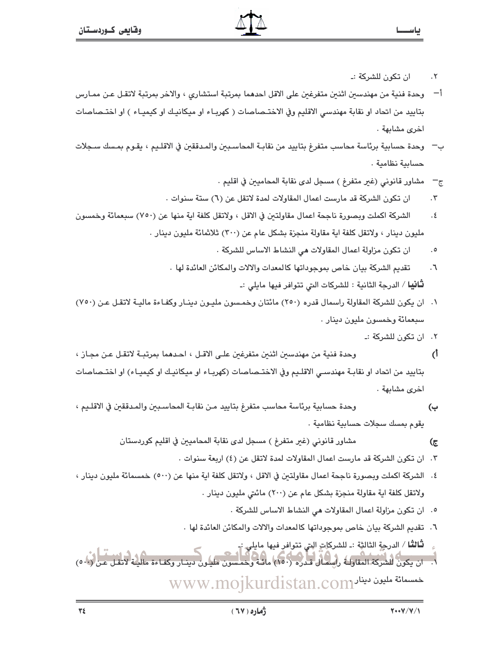- ان تكون للشركة :ـ  $.7$
- أ— وحدة فنية من مهندسين اثنين متفرغين على الاقل احدهما بمرتبة استشاري ، والاخر بمرتبة لاتقـل عـن ممـارس بتاييد من اتحاد او نقابة مهندسي الاقليم وفي الاختـصاصات ( كهربـاء او ميكانيـك او كيميـاء ) او اختـصاصات اخرى مشايهة .
- ب $-$  وحدة حسابية برئاسة محاسب متفرغ بتاييد من نقابـة المحاسـبين والمـدققين في الاقلـيم ، يقـوم بمـسك سـجلات حسابية نظامية .
	- ج مشاور قانوني (غير متفرغ ) مسجل لدى نقابة المحاميين في اقليم .
	- ان تكون الشركة قد مارست اعمال المقاولات لمدة لاتقل عن (٦) ستة سنوات .  $\cdot$   $\mathsf{r}$
- الشركة اكملت ويصورة ناجحة اعمال مقاولتين في الاقل ، ولاتقل كلفة اية منها عن (٧٥٠) سبعمائة وخمسون  $\cdot$  ٤ مليون دينار ، ولاتقل كلفة اية مقاولة منجزة بشكل عام عن (٣٠٠) ثلاثمائة مليون دينار .
	- ان تكون مزاولة اعمال المقاولات هي النشاط الاساس للشركة .  $\cdot$  0
	- تقديم الشركة بيان خاص بموجوداتها كالمعدات والالات والمكائن العائدة لها .  $\mathcal{F}$ . **ثَـانيا** / الدرجة الثانية : للشركات التي تتوافر فيها مايلي :ـ
- ٠١ ان يكون للشركة المقاولة راسمال قدره (٢٥٠) مائتان وخمسون مليـون دينـار وكفـاءة ماليـة لاتقـل عـن (٧٥٠) سبعمائة وخمسون مليون دينار .
	- ٢. ان تكون للشركة :ـ
- وحدة فنية من مهندسين اثنين متفرغين علـى الاقـل ، احـدهما بمرتبـة لاتقـل عـن مجـاز ،  $\mathcal{L}$ بتاييد من اتحاد او نقابـة مهندسـي الاقلـيم وفي الاختـصاصات (كهربـاء او ميكانيـك او كيميـاء) او اختـصاصات اخر*ى* مشابهة .
- وحدة حسابية برئاسة محاسب متفرغ بتاييد مـن نقابـة المحاسـبين والمـدققين في الاقلـيم › ب) يقوم بمسك سجلات حسابية نظامية.
	- مشاور قانوني (غير متفرغ ) مسجل لدى نقابة المحاميين في اقليم كوردستان <u>(උ</u>
		- ٣. ان تكون الشركة قد مارست اعمال المقاولات لمدة لاتقل عن (٤) اربعة سنوات .
- ٤. الشركة اكملت وبصورة ناجحة اعمال مقاولتين في الاقل ، ولاتقل كلفة اية منها عن (٥٠٠) خمسمائة مليون دينار ، ولاتقل كلفة اية مقاولة منجزة بشكل عام عن (٢٠٠) مائتي مليون دينار .
	- 0. ان تكون مزاولة اعمال المقاولات هي النشاط الاساس للشركة .
	- ٦. تقديم الشركة بيان خاص بموجوداتها كالمعدات والالات والمكائن العائدة لها .
		- **ثالثًا** / الدرجةِ الثالثة :ـ للشركاتِ الذي تتوافر فيها مايلي :-
- .<br>١. ان يكون الشركة المقاولة رأسكال قدره (١٥٠) مائة وخمسون مليكون دينـار وكفـاءة مالئة لاتقـل عـر KUIO فمسمائة مليون دينار www.mojkurdistan.com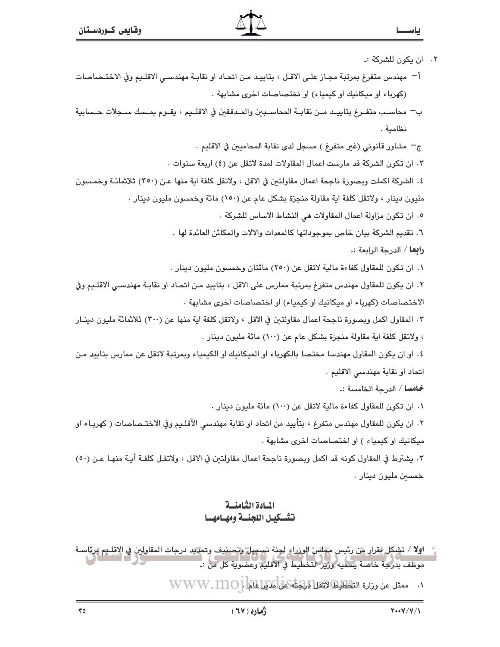- ٢. ان بكون للشركة :ـ
- أ¬ مهندس متفرغ بمرتبة مجـاز علـى الاقـل ، بتابيـد مـن اتحـاد او نقابـة مهندسـى الاقلـيم وفي الاختـصاصات (كهرباء او ميكانيك او كيمياء) او نختصاصات اخرى مشابهة .
- ب محاسب متفـرغ بتاييـد مـن نقابـة المحاسـبين والمـدققين في الاقلـيم ، يقـوم بمـسك سـجلات حـسابية نظامية .
	- ج مشاور قانوني (غير متفرغ ) مسجل لدى نقابة المحاميين في الاقليم .
	- ٢. ان تكون الشركة قد مارست اعمال المقاولات لمدة لاتقل عن (٤) اربعة سنوات .
- ٤. الشركة اكملت ويصورة ناجحة اعمال مقاولتين في الاقل ، ولاتقل كلفة اية منها عـن (٣٥٠) ثلاثمائـة وخمـسون
	- مليون دينار ، ولاتقل كلفة اية مقاولة منجزة بشكل عام عن (١٥٠) مائة وخمسون مليون دينار .
		- ٥. ان تكون مزاولة اعمال المقاولات هي النشاط الاساس للشركة .
		- ٦. تقديم الشركة بيان خاص بموجوداتها كالمعدات والالات والمكائن العائدة لها ٠
			- **رابعا** / الدرجة الرابعة :ـ
		- ٠. ان تكون للمقاول كفاءة مالية لاتقل عن (٢٥٠) مائتان وخمسون مليون دينار .
- ٢. ان يكون للمقاول مهندس متفرغ بمرتبة ممارس على الاقل ، بتاييد مـن اتحـاد او نقابـة مهندسـي الاقلـيم وفي الاختصاصات (كهرباء او ميكانيك او كيمياء) او اختصاصات اخرى مشابهة .
- ٢. المقاول اكمل وبصورة ناجحة اعمال مقاولتين في الاقل ، ولاتقل كلفة اية منها عن (٣٠٠) ثلاثمائة مليون دينـار ، ولاتقل كلفة اية مقاولة منجزة بشكل عام عن (١٠٠) مائة مليون دينار .
- ٤. او ان يكون المقاول مهندسا مختصا بالكهرباء او الميكانيك او الكيمياء وبمرتبة لاتقل عن ممارس بتاييد مـن اتحاد او نقابة مهندسي الاقليم .
	- خامسا / الدرجة الخامسة :ـ
	- ٠. ان تكون للمقاول كفاءة مالية لاتقل عن (١٠٠) مائة مليون دينار .
- ٢. ان يكون للمقاول مهندس متفرغ ، بتأبيد من اتحاد او نقابة مهندسي الأقلـيم وفي الاختـصاصات ( كهريـاء او ميكانيك او كيمياء ) او اختصاصات اخرى مشابهة .
- ٣. يشترط في المقاول كونه قد اكمل ويصورة ناجحة اعمال مقاولتين في الاقل ، ولاتقـل كلفـة أيـة منهـا عـن (٥٠) خمسىن مليون دينار .

#### المسادة الثيامنسة تشكيل اللجنسة ومهيامهيا

- اولا / تشكل ققرار من رئيس مخلس الوزراء لجنة تسجيل وتصييف وتحديد درجات المقاولين في الاقلــم برئاسـة موظف بدرجة خاصة يسميه وزير التخطيط في الاقليم وعضوية كل من :-
	- ١. ممثل عن وزارة التلطيليكا التلفيليكا التلفي التي التي التلكي التلكي الا WWW.MO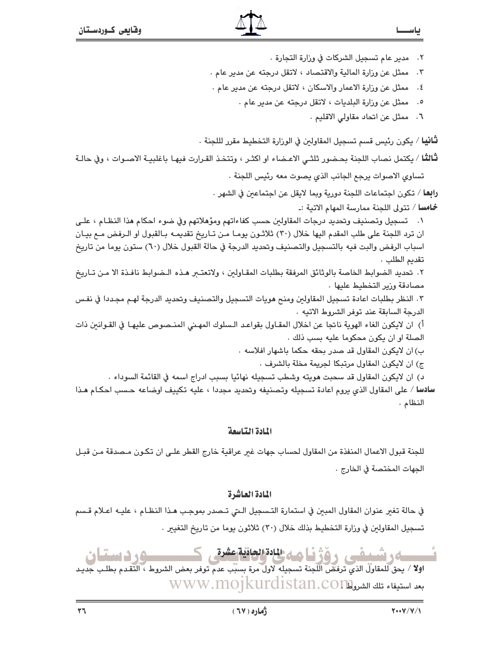٢. مدير عام تسجيل الشركات في وزارة التجارة ٠

- ٢. ممثل عن وزارة المالية والاقتصاد ، لاتقل درجته عن مدير عام .
- ٤. ممثل عن وزارة الاعمار والاسكان ، لاتقل درجته عن مدير عام .
	- ٥. ممثل عن وزارة البلديات ، لاتقل درجته عن مدير عام .
		- ٦. ممثل عن اتحاد مقاولي الاقليم .

**ثَـانيا** / يكون رئيس قسم تسجيل المقاولي*ن* في الوزارة التخطيط مقرر لللجنة .

ثالثًا / يكتمل نصاب اللجنة بحـضور ثلثـي الاعـضاء او اكثـر ، وتتخـذ القـرارت فيهـا باغلبيـة الاصـوات ، وفي حالـة

تساوى الاصوات يرجع الجانب الذي يصوت معه رئيس اللجنة .

رابعا / تكون اجتماعات اللجنة دورية ويما لابقل عن اجتماعين في الشهر .

خامسا / تتولى اللجنة ممارسة المهام الاتية :ـ

١. تسجيل وتصنيف وتحديد درجات المقاولين حسب كفاءاتهم ومؤهلاتهم وفي ضوء احكام هذا النظام ، علـى ان ترد اللجنة على طلب المقدم اليها خلال (٣٠) ثلاثـون يومـا مـن تـاريخ تقديمـه بـالقبول او الـرفض مـع بيـان اسباب الرفض والبت فيه بالتسجيل والتصنيف وتحديد الدرجة في حالة القبول خلال (٦٠) ستون يوما من تاريخ تقديم الطلب .

٢. تحديد الضوابط الخاصة بالوثائق المرفقة بطلبات المقاولين ، ولاتعتبر هذه الـضوابط نافذة الا مـن تـاريخ مصادقة وزير التخطيط عليها ٠

٢. النظر بطلبات اعادة تسجيل المقاولين ومنح هويات التسجيل والتصنيف وتحديد الدرجة لهـم مجـددا في نفـس الدرجة السابقة عند توفر الشروط الاتيه .

أ) ان لايكون الغاء الهوية ناتجا عن اخلال المقـاول بقواعـد الـسلوك المهـني المنـصوص عليهـا في القـوانين ذات الصلة او ان يكون محكوما عليه بسب ذلك .

ب) ان لايكون المقاول قد صدر بحقه حكما باشهار افلاسه .

ج) ان لايكون المقاول مرتبكا لجريمة مخلة بالشرف .

د) ان لايكون المقاول قد سحبت هويته وشطب تسجيله نهائيا بسبب ادراج اسمه في القائمة السوداء .

سادسا / على المقاول الذي يروم اعادة تسجيله وتصنيفه وتحديد مجددا ، عليه تكييف اوضاعه حـسب احكـام هـذا النظام.

#### المادة التناسعة

للجنة قبول الاعمال المنفذة من المقاول لحساب جهات غير عراقية خارج القطر علـى ان تكـون مـصدقة مـن قبـل الجهات المختصة في الخارج .

#### المادة العاشرة

في حالة تغير عنوان المقاول المبين في استمارة التـسجيل الـتي تـصدر بموجب هـذا النظـام ، عليـه اعـلام قـسم تسجيل المقاولين في وزارة التخطيط بذلك خلال (٣٠) ثلاثون يوما من تاريخ التغيير .

ەرشىفى رۆژنامەللاھلاقاتقىقى ك ود دست اولا / يحق للمقاولُ الذي ترفضَ اللَّجنة تسجيله لأول مرة بسبَّب عدم توفر بعض الشروط ، التَّقدم بطلب جديد بعد استيفاء تلك الشروالWWW.MOjkurdistan.co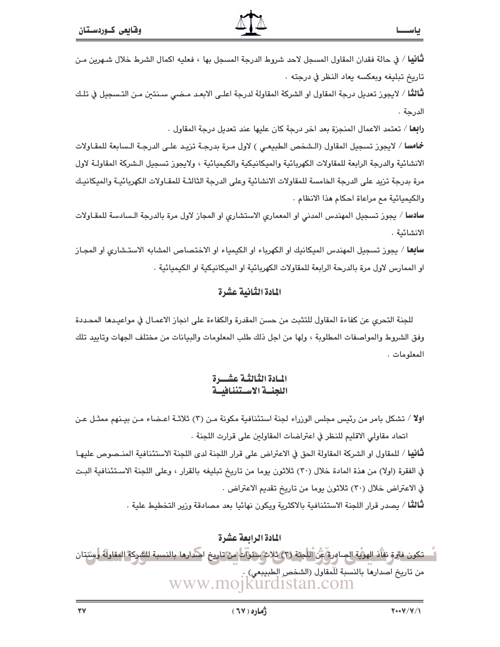**ثَّانيا** / في حالة فقدان المقاول المسجل لاحد شروط الدرجة المسجل بها ، فعليه اكمال الشرط خلال شـهرين مـن تاريخ تبليغه ويعكسه يعاد النظر في درجته .

ثَّالثُّل / لايجوز تعديل درجة المقاول او الشركة المقاولة لدرجة اعلـى الابعـد مـضـى سـنتين مـن التـسجيل في تلـك الدرجة .

را**بعـ**ا / تعتمد الاعمال المنجزة بعد اخر درجة كان عليها عند تعديل درجة المقاول .

خامسا / لايجوز تسجيل المقاول (الـشخص الطبيعـي ) لاول مـرة بدرجـة تزيـد علـي الدرجـة الـسابعة للمقـاولات الانشائية والدرجة الرابعة للمقاولات الكهربائية والميكانيكية والكيميائية ، ولايجوز تسجيل الـشركة المقاولـة لاول مرة بدرجة تزيد على الدرجة الخامسة للمقاولات الانشائية وعلى الدرجة الثالثـة للمقـاولات الكهربائيــة والميكانيـك والكيميائية مع مراعاة احكام هذا الانظام .

**سادسا** / يجوز تسجيل المهندس المدنى او المعماري الاستشاري او المجاز لاول مرة بالدرجة الـسادسة للمقـاولات الانشائية .

**سابعا** / يجوز تسجيل المهندس الميكانيك او الكهرباء او الكيمياء او الاختصاص المشابه الاستـشارى او المجـاز او الممارس لاول مرة بالدرحة الرابعة للمقاولات الكهربائية او الميكانيكية او الكيميائية .

#### المادة الثانية عشرة

للجنة التحري عن كفاءة المقاول للتثبت من حسن المقدرة والكفاءة على انجاز الاعمـال في مواعيـدها المحـددة وفق الشروط والمواصفات المطلوبة ، ولها من اجل ذلك طلب المعلومات والبيانات من مختلف الجهات وتابيد تلك المعلومات .

#### المادة الثنالثية عشيرة اللجنسة الاستئنافسة

اولاً / تشكل بامر من رئيس مجلس الوزراء لجنة استئنافية مكونة مـن (٣) ثلاثـة اعـضاء مـن بيـنهم ممثـل عـن اتحاد مقاولي الاقليم للنظر في اعتراضات المقاولين على قرارت اللجنة .

**ثَّانيا** / للمقاول او الشركة المقاولة الحق في الاعتراض على قرار اللجنة ل*دى* اللجنة الاستئنافية المنـصوص عليهـا في الفقرة (اولا) من هذة المادة خلال (٣٠) ثلاثون يوما من تاريخ تبليغه بالقرار ، وعلى اللجنة الاستئنافية البت في الاعتراض خلال (٣٠) ثلاثون يوما من تاريخ تقديم الاعتراض .

**ثَّالثًا** / يصدر قرار اللجنة الاستئنافية بالاكثرية ويكون نهائيا بعد مصادقة وزير التخطيط علية .

### المادة الرابعة عشرة

. تكون فاترة نفأذ الهوية الصادرة عَنْ اللجنة (٣) ثلاث سنوات من تاريخ احدارها بالنسبة للشركة المقاولة ومئنتان من تاريخ اصدارها بالنسبة للّمقاول (الشخص الطبيبعي) . www.moikurdistan.com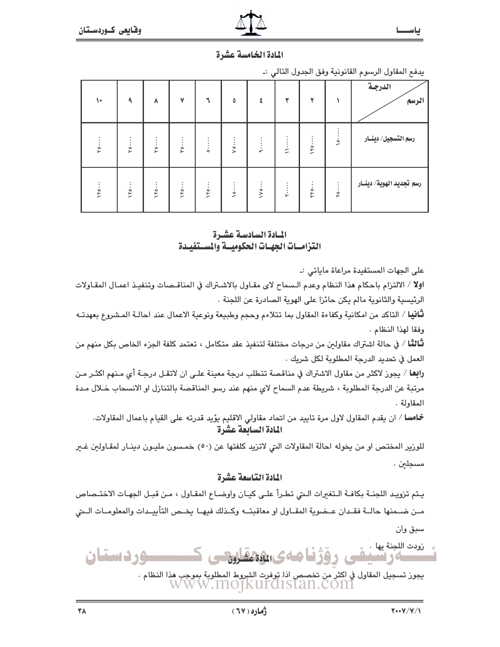

المادة الخامسة عشرة

بدفع المقاول الرسوم القانونية وفق الجدول التالي :-

| يي<br>.<br>. ب           |                |           |                  |              |                |                |             |                       |                     |            |
|--------------------------|----------------|-----------|------------------|--------------|----------------|----------------|-------------|-----------------------|---------------------|------------|
| الدرجة<br>الرسم          |                |           | ۳                | $\mathbf{z}$ | ٥              |                | $\mathbf v$ | ٨                     | $\ddot{\mathbf{a}}$ | ١٠         |
| رسم التسجيل/ دينــار     | $\mathbf{v}$   | 1Y0       | $\sum_{i=1}^{n}$ | $\vdots$     | $\ddot{\cdot}$ | $\ddot{\cdot}$ | ٠<br>غ<br>ج | ٠<br>$Y_0 \cdots Y_n$ | ۲٥.                 | $\gamma$ o |
| رسم تجديد الهوية/ دينسار | $Y$ $0 \cdots$ | ٠<br>rro. | $\mathbf{v}$     | $\vee$       | ٠<br>$\cdots$  | $Y^{\circ}$ .  | 1Y0         | $\forall o \cdots$    | $\bullet$<br>10.4   | $\Upsilon$ |

المادة السادسة عشرة التزامسات الجهيات الحكوميسة والمستفيدة

على الجهات المستفيدة مراعاة ماياتي :-

اولا / الالتزام باحكام هذا النظام وعدم السماح لاي مقـاول بالاشـتراك في المناقـصات وتنفيـذ اعمـال المقـاولات الرئيسية والثانوية مالم يكن حائزا على الهوية الصادرة عن اللجنة .

ثانيا / التاكد من امكانية وكفاءة المقاول بما تتلاءم وحجم وطبيعة ونوعية الاعمال عند احالـة المشروع بعهدتـه وفقا لهذا النظام .

ثَّالثُّـا / في حالة اشتراك مقاولين من درجات مختلفة لتنفيذ عقد متكامل ، تعتمد كلفة الجزء الخاص بكل منهم من العمل في تحديد الدرجة المطلوبة لكل شريك .

رابعا / يجوز لاكثر من مقاول الاشتراك في مناقصة تتطلب درجة معينة علـى ان لاتقـل درجـة أي مـنهم اكثـر مـن مرتبة عن الدرجة المطلوبة ، شريطة عدم السماح لاى منهم عند رسو المناقصة بالتنازل او الانسحاب خـلال مـدة المقاولة .

**خمامسا** / ان يقدم المقاول لاول مرة تاييد من اتحاد مقاولي الاقليم يؤيد قدرته على القيام باعمال المقاولات. المادة السابعة عشرة

للوزير المختص او من يخوله احالة المقاولات التي لاتزيد كلفتها عن (٥٠) خمسون مليـون دينـار لمقـاولين غـير مسجلىن .

#### المادة التاسعة عشرة

يتم تزويد اللجنة بكافة التغيرات التي تطرأ على كيان واوضاع المقاول ، من قبل الجهات الاختـصاص مـن ضـمنها حالــة فقـدان عـضوية المقــاول او معاقبتــه وكــذلك فيهــا يخـص التأييــدات والمعلومــات الــتى سبق وان

زودت اللجنة يها . <u>مود دستان</u> ی رۆژنامەی بەدىقلەد

يجوز تسجيل المقاول في اكثر من تخصص اذا توفرت الشروط المطلوبة بموجب هذا النظام .<br>W W W . MO] KUI C1STAN . COM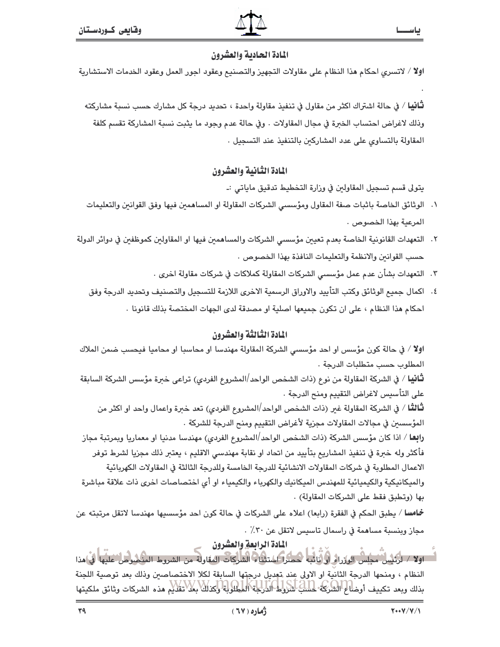#### المادة الحادية والعشرون

اولا / لاتسرى احكام هذا النظام على مقاولات التجهيز والتصنيم وعقود اجور العمل وعقود الخدمات الاستشارية

**ثانيا** / في حالة اشتراك اكثر من مقاول في تنفيذ مقاولة واحدة ، تحديد درجة كل مشارك حسب نسبة مشاركته وذلك لاغراض احتساب الخرة في مجال المقاولات . وفي حالة عدم وجود ما يثبت نسبة المشاركة تقسم كلفة المقاولة بالتساوي على عدد المشاركين بالتنفيذ عند التسجيل .

#### المادة الثانية والعشرون

يتولى قسم تسجيل المقاولين في وزارة التخطيط تدقيق ماياتي :ـ

- ١. الوثائق الخاصة باثبات صفة المقاول ومؤسسي الشركات المقاولة او المساهمين فيها وفق القوانين والتعليمات المرعبة بهذا الخصوص .
- ٢. التعهدات القانونية الخاصة بعدم تعيين مؤسسى الشركات والمساهمين فيها او المقاولين كموظفين في دوائر الدولة حسب القوانين والانظمة والتعليمات النافذة بهذا الخصوص .
	- ٣. التعهدات بشأن عدم عمل مؤسسي الشركات المقاولة كملاكات في شركات مقاولة اخرى ٠
	- ٤. اكمال جميع الوثائق وكتب التأييد والاوراق الرسمية الاخرى اللازمة للتسجيل والتصنيف وتحديد الدرجة وفق احكام هذا النظام ، على ان تكون جميعها اصلية او مصدقة لدى الجهات المختصة بذلك قانونا .

#### المادة الثيالثة والعشرون

اولاً / في حالة كون مؤسس او احد مؤسسي الشركة المقاولة مهندسا او محاسبا او محاميا فيحسب ضمن الملاك المطلوب حسب متطلبات الدرجة .

**ثـَّانيـا** / في الشركة المقاولة من نوع (ذات الشخص الواحد/المشروع الفردي) تراعى خبرة مؤسس الشركة السابقة على التأسيس لاغراض التقييم ومنح الدرجة .

ثَّالثُّلُّ / في الشركة المقاولة غير (ذات الشخص الواحد/المشروع الفردي) تعد خبرة واعمال واحد او اكثر من المؤسسين في مجالات المقاولات مجزية لأغراض التقييم ومنح الدرجة للشركة .

را**بعـ**ا / اذا كان مؤسس الشركة (ذات الشخص الواحد/المشروع الفردي) مهندسا مدنيا او معماريا وبمرتبة مجاز فأكثر وله خبرة في تنفيذ المشاريع بتأييد من اتحاد او نقابة مهندسي الاقليم ، يعتبر ذلك مجزيا لشرط توفر الاعمال المطلوبة في شركات المقاولات الانشائية للدرجة الخامسة وللدرجة الثالثة في المقاولات الكهربائية والميكانيكية والكيميائية للمهندس الميكانيك والكهرباء والكيمياء او أي اختصاصات اخرى ذات علاقة مباشرة

خامساً / يطبق الحكم في الفقرة (رابعا) اعلاه على الشركات في حالة كون احد مؤسسيها مهندسا لاتقل مرتبته عن مجاز وينسبة مساهمة في راسمال تاسيس لاتقل عن ٣٠٪.

# المادة الرابعة والعشرون اولا / الرَّبُيْسُ مَجْلِسْ الوزراءُ أَوَّائِلْبَهْ حَصَراً اسْتَثْنَاءُ الشَّرْكَات المقاولة من الشروط المنكشوط غليها في مذا النظام ، ومنحها الدرجة الثانية او الاولى عند تعديل درجتها السابقة لكلا الاختصاصين وذلك بعد توصية اللجنة بذلك وبعد تكييف أوضاع الشركة حسك لشروط الدرجة المطلوبة وكذلك بعلا تقليم مذه الشركات وثائق ملكيتها

بها (وتطبق فقط على الشركات المقاولة) .